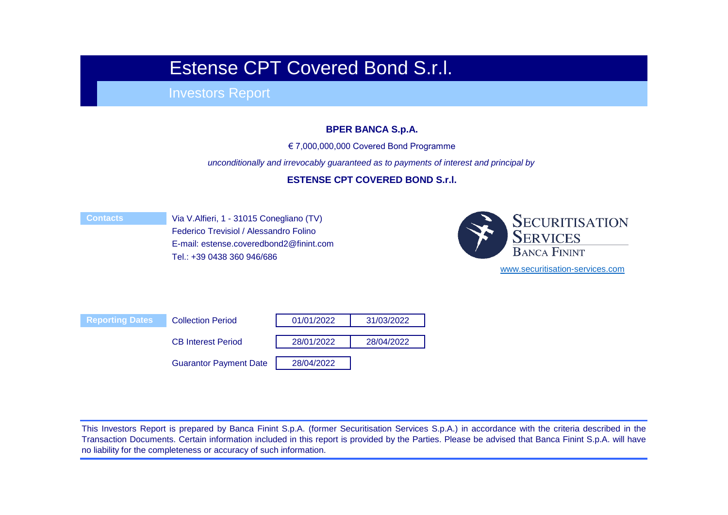# Estense CPT Covered Bond S.r.l.

Investors Report

# **BPER BANCA S.p.A.**

€ 7,000,000,000 Covered Bond Programme

*unconditionally and irrevocably guaranteed as to payments of interest and principal by*

# **ESTENSE CPT COVERED BOND S.r.l.**

| <b>Contacts</b> | Via V.Alfieri, 1 - 31015 Conegliano (TV) |
|-----------------|------------------------------------------|
|                 | Federico Trevisiol / Alessandro Folino   |
|                 | E-mail: estense.coveredbond2@finint.com  |
|                 | Tel.: +39 0438 360 946/686               |



[www.securitisation-](http://www.securitisation-services.com/)services.com

| <b>Reporting Dates</b> | <b>Collection Period</b>      | 01/01/2022 | 31/03/2022 |
|------------------------|-------------------------------|------------|------------|
|                        | <b>CB Interest Period</b>     | 28/01/2022 | 28/04/2022 |
|                        |                               |            |            |
|                        | <b>Guarantor Payment Date</b> | 28/04/2022 |            |

This Investors Report is prepared by Banca Finint S.p.A. (former Securitisation Services S.p.A.) in accordance with the criteria described in the Transaction Documents. Certain information included in this report is provided by the Parties. Please be advised that Banca Finint S.p.A. will have no liability for the completeness or accuracy of such information.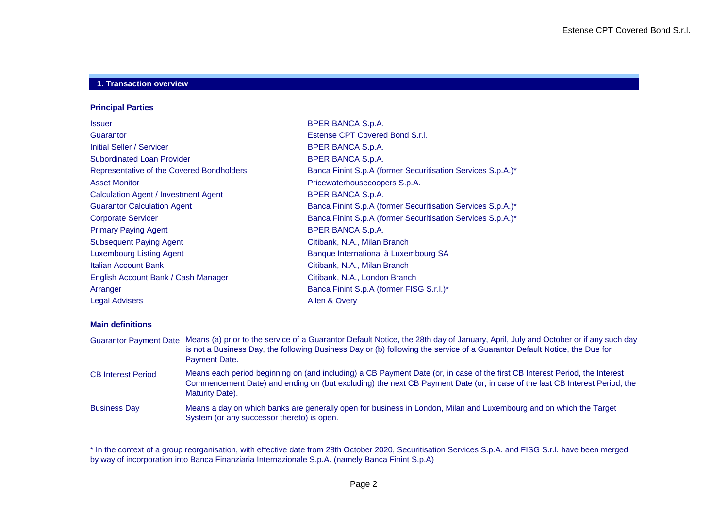## **1. Transaction overview**

### **Principal Parties**

| <b>Issuer</b>                               | <b>BPER BANCA S.p.A.</b>                                    |
|---------------------------------------------|-------------------------------------------------------------|
| Guarantor                                   | Estense CPT Covered Bond S.r.I.                             |
| Initial Seller / Servicer                   | BPER BANCA S.p.A.                                           |
| <b>Subordinated Loan Provider</b>           | <b>BPER BANCA S.p.A.</b>                                    |
| Representative of the Covered Bondholders   | Banca Finint S.p.A (former Securitisation Services S.p.A.)* |
| <b>Asset Monitor</b>                        | Pricewaterhousecoopers S.p.A.                               |
| <b>Calculation Agent / Investment Agent</b> | <b>BPER BANCA S.p.A.</b>                                    |
| <b>Guarantor Calculation Agent</b>          | Banca Finint S.p.A (former Securitisation Services S.p.A.)* |
| <b>Corporate Servicer</b>                   | Banca Finint S.p.A (former Securitisation Services S.p.A.)* |
| <b>Primary Paying Agent</b>                 | <b>BPER BANCA S.p.A.</b>                                    |
| <b>Subsequent Paying Agent</b>              | Citibank, N.A., Milan Branch                                |
| <b>Luxembourg Listing Agent</b>             | Banque International à Luxembourg SA                        |
| <b>Italian Account Bank</b>                 | Citibank, N.A., Milan Branch                                |
| English Account Bank / Cash Manager         | Citibank, N.A., London Branch                               |
| Arranger                                    | Banca Finint S.p.A (former FISG S.r.l.)*                    |
| <b>Legal Advisers</b>                       | Allen & Overy                                               |

## **Main definitions**

|                           | Guarantor Payment Date Means (a) prior to the service of a Guarantor Default Notice, the 28th day of January, April, July and October or if any such day<br>is not a Business Day, the following Business Day or (b) following the service of a Guarantor Default Notice, the Due for<br>Payment Date. |
|---------------------------|--------------------------------------------------------------------------------------------------------------------------------------------------------------------------------------------------------------------------------------------------------------------------------------------------------|
| <b>CB Interest Period</b> | Means each period beginning on (and including) a CB Payment Date (or, in case of the first CB Interest Period, the Interest<br>Commencement Date) and ending on (but excluding) the next CB Payment Date (or, in case of the last CB Interest Period, the<br>Maturity Date).                           |
| <b>Business Day</b>       | Means a day on which banks are generally open for business in London, Milan and Luxembourg and on which the Target<br>System (or any successor thereto) is open.                                                                                                                                       |

\* In the context of a group reorganisation, with effective date from 28th October 2020, Securitisation Services S.p.A. and FISG S.r.l. have been merged by way of incorporation into Banca Finanziaria Internazionale S.p.A. (namely Banca Finint S.p.A)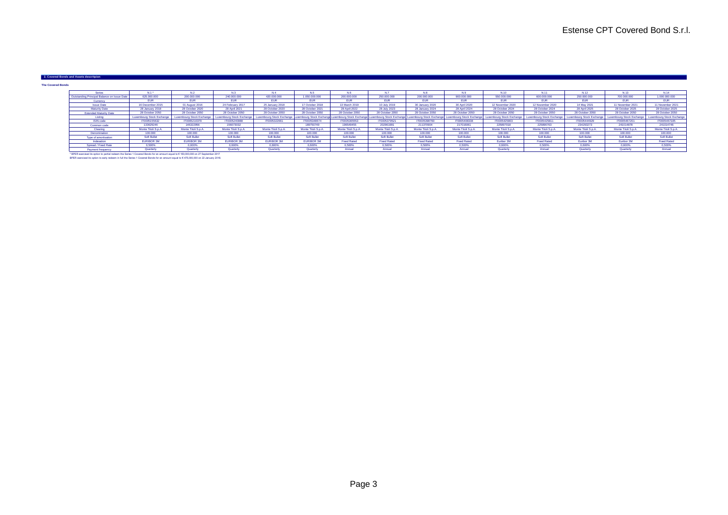**The Covered Bonds 2. Covered Bonds and Assets descritpion**

|                                                                                                                                       |                                                                                                                                    | <b>A10</b>                       |                        |                           |                           |                        |                          |                          |                           | 51,400                   | 61,414                  | <b>M 12</b>              | N 13                     | <b>N144</b>                      |
|---------------------------------------------------------------------------------------------------------------------------------------|------------------------------------------------------------------------------------------------------------------------------------|----------------------------------|------------------------|---------------------------|---------------------------|------------------------|--------------------------|--------------------------|---------------------------|--------------------------|-------------------------|--------------------------|--------------------------|----------------------------------|
| Outstanding Principal Balance on Issue Date                                                                                           | 625.000.000                                                                                                                        | 200.000.000                      | 240.000.000            | 420.000.000               | 1.050.000.000             | 200.000.000            | 250.000.000              | 200.000.000              | 900.000.000               | 550.000.000              | 600.000.000             | 250.000.000              | 700.000.000              | 1.000.000.000                    |
| Currency                                                                                                                              | <b>EUR</b>                                                                                                                         | <b>EUR</b>                       | <b>EUR</b>             | <b>EUR</b>                | <b>EUR</b>                | <b>EUR</b>             | <b>EUR</b>               | <b>EUR</b>               | <b>EUR</b>                | <b>EUR</b>               | <b>FUR</b>              | <b>EUR</b>               | <b>EUR</b>               | <b>EUR</b>                       |
| <b>Issue Date</b>                                                                                                                     | 16 December 2015                                                                                                                   | 01 August 2016                   | 24 February 2017       | 25 January 2018           | 17 October 2018           | 13 March 2019          | 10 July 2019             | 30 January 2020          | 30 April 2020             | 12 November 2020         | 12 November 2020        | 14 May 2021              | 11 November 2021         | 11 November 2021                 |
| <b>Maturity Date</b>                                                                                                                  | 28 January 2018                                                                                                                    | 28 October 2020                  | 28 April 2021          | 28 October 2020           | 28 October 2021           | 28 April 2022          | 28 July 2023             | 28 January 2024          | 28 April 2024             | 28 October 2024          | 28 October 2024         | 28 April 2025            | 28 October 2025          | 28 October 2025                  |
| <b>Extended Maturity Date</b>                                                                                                         | 28 October 2050                                                                                                                    | 28 October 2050                  | 28 October 2050        | 28 October 2050           | 28 October 2050           | 28 October 2050        | 28 October 2050          | 28 October 2050          | 28 October 2050           | 28 October 2050          | 28 October 2050         | 28 October 2050          | 28 October 2050          | 28 October 2050                  |
| Listing                                                                                                                               | <b>Luxembourg Stock Exchange</b>                                                                                                   | <b>Luxembourg Stock Exchange</b> | embourg Stock Exchange | Luxembourg Stock Exchange | Luxembourg Stock Exchange | embourg Stock Exchange | uxembourg Stock Exchange | uxembourg Stock Exchange | Luxembourg Stock Exchange | uxembourg Stock Exchange | wembourg Stock Exchange | uxembourg Stock Exchange | uxembourg Stock Exchange | <b>Luxembourg Stock Exchange</b> |
| <b>ISIN code</b>                                                                                                                      | IT0005155632                                                                                                                       | IT0005210379                     | IT0005240988           | IT0005322661              | IT0005348674              | IT0005365553           | IT0005379521             | IT0005398760             | IT0005408338              | IT0005425803             | IT0005425811            | IT0005444929             | IT0005467201             | IT0005467185                     |
| Common code                                                                                                                           | 133629246                                                                                                                          | 146322956                        | 156073032              |                           | 189750749                 | 196549455              | 202961991                | 211370904                | 217016061                 | 225897018                | 225896763               | 234293273                | 241014878                | 241014746                        |
| Cleanno                                                                                                                               | Monte Titoli S.p.A.                                                                                                                | Monte Titoli S.p.A.              | Monte Titoli S.p.A.    | Monte Titoli S.p.A.       | Monte Titoli S.p.A.       | Monte Titoli S.p.A.    | Monte Titoli S.p.A.      | Monte Titoli S.p.A.      | Monte Titoli S.p.A.       | Monte Titoli S.p.A.      | Monte Titoli S.p.A.     | Monte Titoli S.p.A.      | Monte Titoli S.p.A.      | Monte Titoli S.p.A.              |
| Denomination                                                                                                                          | 100,000                                                                                                                            | 100,000                          | 100,000                | 100,000                   | 100,000                   | 100,000                | 100,000                  | 100,000                  | 100,000                   | 100,000                  | 100,000                 | 100,000                  | 100,000                  | 100.000                          |
| Type of amortisation                                                                                                                  | Soft Bullet                                                                                                                        | Soft Bullet                      | Soft Bullet            | Soft Bullet               | Soft Bullet               | Soft Bullet            | Soft Bullet              | Soft Bullet              | Soft Bullet               | Soft Bullet              | Soft Bullet             | Soft Bullet              | Soft Bullet              | Soft Bullet                      |
| Indexation                                                                                                                            | <b>EURIBOR 3M</b>                                                                                                                  | <b>EURIBOR 3M</b>                | <b>EURIBOR 3M</b>      | <b>EURIBOR 3M</b>         | <b>EURIBOR 3M</b>         | <b>Fixed Rated</b>     | <b>Fixed Rated</b>       | <b>Fixed Rated</b>       | <b>Fixed Rated</b>        | Euribor 3M               | <b>Fixed Rated</b>      | Euribor 3M               | Euribor 3M               | <b>Fixed Rated</b>               |
| Spread / Fixed Rate                                                                                                                   | 0.500%                                                                                                                             | 0.600%                           | 0.600%                 | 0.600%                    | 0.600%                    | 0.500%                 | 0.500%                   | 0.500%                   | 0.500%                    | 0.600%                   | 0.500%                  | 0.600%                   | 0.600%                   | 0.500%                           |
| Payment frequency                                                                                                                     | Quarterly                                                                                                                          | Quarterly                        | Quarterly              | Quarterly                 | Quarterly                 | Annual                 | Annual                   | Annual                   | Annual                    | Quarterly                | Annual                  | Quarterly                | Quarterly                | Annual                           |
|                                                                                                                                       | * BPER exercised its option to partial redeem the Series 1 Covered Bonds for an amount equal to € 150,000,000 on 27 September 2017 |                                  |                        |                           |                           |                        |                          |                          |                           |                          |                         |                          |                          |                                  |
| BPER exercised its option to early redeem in full the Series 1 Covered Bonds for an amount equal to € 475,000,000 on 22 January 2018. |                                                                                                                                    |                                  |                        |                           |                           |                        |                          |                          |                           |                          |                         |                          |                          |                                  |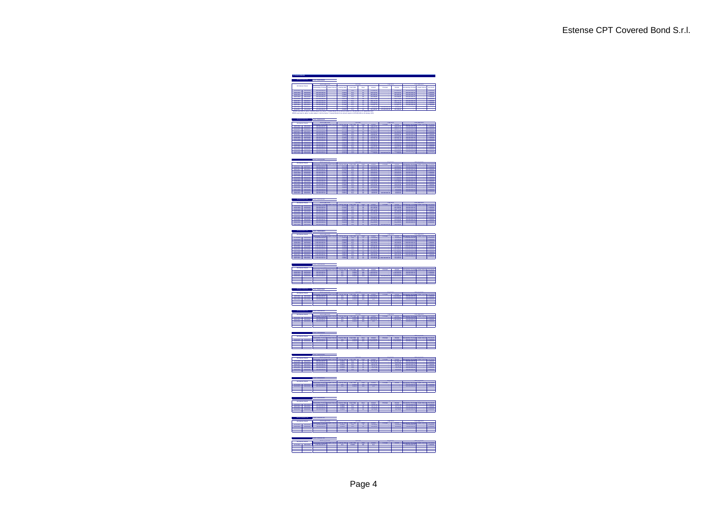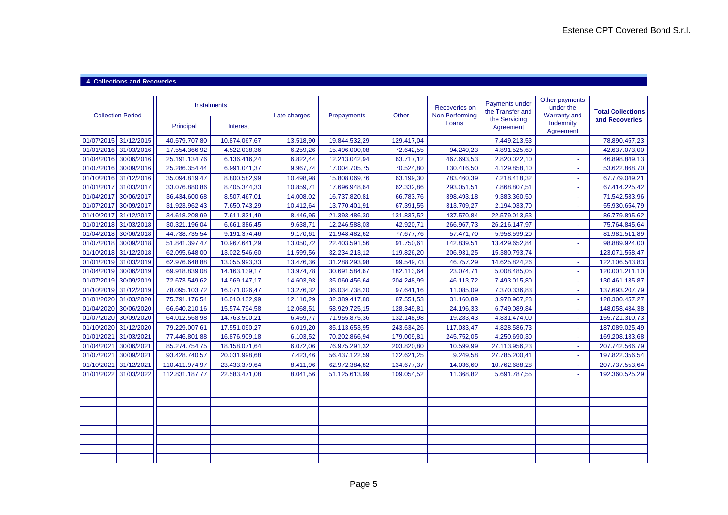## **4. Collections and Recoveries**

| <b>Collection Period</b> | <b>Instalments</b><br>Principal<br><b>Interest</b> |               | Late charges | Prepayments   | Other      | <b>Recoveries on</b><br>Non Performing<br>Loans | Payments under<br>the Transfer and<br>the Servicing | Other payments<br>under the<br><b>Warranty and</b><br>Indemnity | <b>Total Collections</b><br>and Recoveries |
|--------------------------|----------------------------------------------------|---------------|--------------|---------------|------------|-------------------------------------------------|-----------------------------------------------------|-----------------------------------------------------------------|--------------------------------------------|
|                          |                                                    |               |              |               |            |                                                 | Agreement                                           | Agreement                                                       |                                            |
| 01/07/2015 31/12/2015    | 40.579.707,80                                      | 10.874.067,67 | 13.518,90    | 19.844.532,29 | 129.417,04 | ÷.                                              | 7.449.213,53                                        |                                                                 | 78.890.457,23                              |
| 01/01/2016 31/03/2016    | 17.554.366,92                                      | 4.522.038,36  | 6.259,26     | 15.496.000,08 | 72.642,55  | 94.240,23                                       | 4.891.525,60                                        | $\sim$                                                          | 42.637.073,00                              |
| 01/04/2016<br>30/06/2016 | 25.191.134,76                                      | 6.136.416,24  | 6.822,44     | 12.213.042,94 | 63.717,12  | 467.693,53                                      | 2.820.022,10                                        |                                                                 | 46.898.849,13                              |
| 01/07/2016<br>30/09/2016 | 25.286.354,44                                      | 6.991.041,37  | 9.967,74     | 17.004.705,75 | 70.524,80  | 130.416,50                                      | 4.129.858,10                                        |                                                                 | 53.622.868,70                              |
| 01/10/2016 31/12/2016    | 35.094.819,47                                      | 8.800.582,99  | 10.498,98    | 15.808.069,76 | 63.199,30  | 783.460,39                                      | 7.218.418,32                                        |                                                                 | 67.779.049,21                              |
| 01/01/2017 31/03/2017    | 33.076.880,86                                      | 8.405.344,33  | 10.859,71    | 17.696.948,64 | 62.332,86  | 293.051,51                                      | 7.868.807,51                                        |                                                                 | 67.414.225,42                              |
| 30/06/2017<br>01/04/2017 | 36.434.600,68                                      | 8.507.467,01  | 14.008,02    | 16.737.820,81 | 66.783,76  | 398.493,18                                      | 9.383.360,50                                        |                                                                 | 71.542.533,96                              |
| 01/07/2017<br>30/09/2017 | 31.923.962,43                                      | 7.650.743,29  | 10.412,64    | 13.770.401,91 | 67.391,55  | 313.709,27                                      | 2.194.033,70                                        |                                                                 | 55.930.654,79                              |
| 01/10/2017<br>31/12/2017 | 34.618.208,99                                      | 7.611.331,49  | 8.446,95     | 21.393.486,30 | 131.837,52 | 437.570,84                                      | 22.579.013,53                                       | ÷,                                                              | 86.779.895,62                              |
| 01/01/2018<br>31/03/2018 | 30.321.196,04                                      | 6.661.386,45  | 9.638,71     | 12.246.588,03 | 42.920,71  | 266.967,73                                      | 26.216.147,97                                       | ÷.                                                              | 75.764.845,64                              |
| 01/04/2018<br>30/06/2018 | 44.738.735,54                                      | 9.191.374,46  | 9.170,61     | 21.948.482,62 | 77.677,76  | 57.471,70                                       | 5.958.599,20                                        | $\blacksquare$                                                  | 81.981.511,89                              |
| 01/07/2018<br>30/09/2018 | 51.841.397,47                                      | 10.967.641,29 | 13.050,72    | 22.403.591,56 | 91.750,61  | 142.839,51                                      | 13.429.652,84                                       | ٠                                                               | 98.889.924,00                              |
| 01/10/2018<br>31/12/2018 | 62.095.648,00                                      | 13.022.546,60 | 11.599,56    | 32.234.213,12 | 119.826,20 | 206.931,25                                      | 15.380.793,74                                       |                                                                 | 123.071.558,47                             |
| 01/01/2019<br>31/03/2019 | 62.976.648,88                                      | 13.055.993,33 | 13.476,36    | 31.288.293,98 | 99.549,73  | 46.757,29                                       | 14.625.824,26                                       | $\sim$                                                          | 122.106.543,83                             |
| 01/04/2019<br>30/06/2019 | 69.918.839,08                                      | 14.163.139,17 | 13.974,78    | 30.691.584,67 | 182.113,64 | 23.074,71                                       | 5.008.485,05                                        |                                                                 | 120.001.211,10                             |
| 30/09/2019<br>01/07/2019 | 72.673.549,62                                      | 14.969.147,17 | 14.603,93    | 35.060.456,64 | 204.248,99 | 46.113,72                                       | 7.493.015,80                                        |                                                                 | 130.461.135,87                             |
| 01/10/2019 31/12/2019    | 78.095.103,72                                      | 16.071.026,47 | 13.276,32    | 36.034.738,20 | 97.641,16  | 11.085,09                                       | 7.370.336,83                                        |                                                                 | 137.693.207,79                             |
| 01/01/2020<br>31/03/2020 | 75.791.176,54                                      | 16.010.132,99 | 12.110,29    | 32.389.417,80 | 87.551,53  | 31.160,89                                       | 3.978.907,23                                        | ÷,                                                              | 128.300.457,27                             |
| 01/04/2020<br>30/06/2020 | 66.640.210,16                                      | 15.574.794,58 | 12.068,51    | 58.929.725,15 | 128.349,81 | 24.196,33                                       | 6.749.089,84                                        | $\sim$                                                          | 148.058.434,38                             |
| 01/07/2020<br>30/09/2020 | 64.012.568,98                                      | 14.763.500,21 | 6.459,77     | 71.955.875,36 | 132.148,98 | 19.283,43                                       | 4.831.474,00                                        | $\mathbf{r}$                                                    | 155.721.310,73                             |
| 01/10/2020<br>31/12/2020 | 79.229.007,61                                      | 17.551.090,27 | 6.019,20     | 85.113.653,95 | 243.634,26 | 117.033,47                                      | 4.828.586,73                                        | $\sim$                                                          | 187.089.025,49                             |
| 01/01/2021<br>31/03/2021 | 77.446.801,88                                      | 16.876.909,18 | 6.103,52     | 70.202.866,94 | 179.009,81 | 245.752,05                                      | 4.250.690,30                                        |                                                                 | 169.208.133,68                             |
| 01/04/2021<br>30/06/2021 | 85.274.754,75                                      | 18.158.071,64 | 6.072,06     | 76.975.291,32 | 203.820,80 | 10.599,99                                       | 27.113.956,23                                       |                                                                 | 207.742.566,79                             |
| 30/09/2021<br>01/07/2021 | 93.428.740,57                                      | 20.031.998,68 | 7.423,46     | 56.437.122,59 | 122.621,25 | 9.249,58                                        | 27.785.200,41                                       |                                                                 | 197.822.356,54                             |
| 01/10/2021<br>31/12/2021 | 110.411.974,97                                     | 23.433.379,64 | 8.411,96     | 62.972.384,82 | 134.677,37 | 14.036,60                                       | 10.762.688,28                                       |                                                                 | 207.737.553,64                             |
| 01/01/2022<br>31/03/2022 | 112.831.187,77                                     | 22.583.471,08 | 8.041,56     | 51.125.613,99 | 109.054,52 | 11.368,82                                       | 5.691.787,55                                        |                                                                 | 192.360.525,29                             |
|                          |                                                    |               |              |               |            |                                                 |                                                     |                                                                 |                                            |
|                          |                                                    |               |              |               |            |                                                 |                                                     |                                                                 |                                            |
|                          |                                                    |               |              |               |            |                                                 |                                                     |                                                                 |                                            |
|                          |                                                    |               |              |               |            |                                                 |                                                     |                                                                 |                                            |
|                          |                                                    |               |              |               |            |                                                 |                                                     |                                                                 |                                            |
|                          |                                                    |               |              |               |            |                                                 |                                                     |                                                                 |                                            |
|                          |                                                    |               |              |               |            |                                                 |                                                     |                                                                 |                                            |
|                          |                                                    |               |              |               |            |                                                 |                                                     |                                                                 |                                            |
|                          |                                                    |               |              |               |            |                                                 |                                                     |                                                                 |                                            |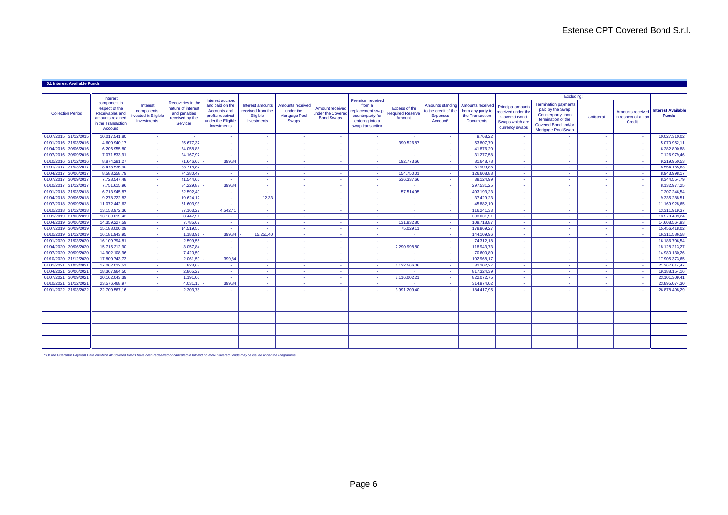#### **5.1 Interest Available Funds**

|                          | Interest                                                                                               |                                                                    |                                                                                         |                                                                                                              |                                                                  |                                                                      |                                                           |                                                                                                           |                                                    |                                                                  |                                                                                     |                                                                                                           | Excluding:                                                                                                                              |                |                                                   |                                           |
|--------------------------|--------------------------------------------------------------------------------------------------------|--------------------------------------------------------------------|-----------------------------------------------------------------------------------------|--------------------------------------------------------------------------------------------------------------|------------------------------------------------------------------|----------------------------------------------------------------------|-----------------------------------------------------------|-----------------------------------------------------------------------------------------------------------|----------------------------------------------------|------------------------------------------------------------------|-------------------------------------------------------------------------------------|-----------------------------------------------------------------------------------------------------------|-----------------------------------------------------------------------------------------------------------------------------------------|----------------|---------------------------------------------------|-------------------------------------------|
| <b>Collection Period</b> | component in<br>respect of the<br>Receivables and<br>amounts retained<br>in the Transaction<br>Account | Interest<br>components<br><b>nvested in Eligibl</b><br>Investments | Recoveries in the<br>nature of interest<br>and penalties<br>received by the<br>Servicer | Interest accrued<br>and paid on the<br>Accounts and<br>profits received<br>under the Eligible<br>Investments | Interest amounts<br>received from the<br>Eligible<br>Investments | <b>Amounts receive</b><br>under the<br>Mortgage Pool<br><b>Swaps</b> | Amount received<br>under the Covered<br><b>Bond Swaps</b> | Premium received<br>from a<br>replacement swap<br>counterparty for<br>entering into a<br>swap transaction | Excess of the<br><b>Required Reserve</b><br>Amount | Amounts standing<br>to the credit of the<br>Expenses<br>Account* | <b>Amounts received</b><br>from any party to<br>the Transaction<br><b>Documents</b> | <b>Principal amounts</b><br>eceived under the<br><b>Covered Bond</b><br>Swaps which are<br>currency swaps | <b>Termination payments</b><br>paid by the Swap<br>Counterparty upon<br>termination of the<br>Covered Bond and/or<br>Mortgage Pool Swap | Collateral     | Amounts received<br>in respect of a Tax<br>Credit | <b>Interest Available</b><br><b>Funds</b> |
| 01/07/2015 31/12/2015    | 10.017.541.80                                                                                          | $\sim$                                                             | <b>Contract</b>                                                                         | <b>Section</b>                                                                                               | <b>Contract</b>                                                  | <b>Contract</b>                                                      | <b>Section</b>                                            | <b>Section</b>                                                                                            | <b>Section</b>                                     | <b>Contract</b>                                                  | 9.768.22                                                                            | $\sim$                                                                                                    | <b>Section</b>                                                                                                                          | <b>Section</b> | $\sim$                                            | 10.027.310.02                             |
| 01/01/2016 31/03/2016    | 4.600.940,17                                                                                           | <b>Security</b>                                                    | 25.677,37                                                                               | $\sim$                                                                                                       | $\sim$                                                           | <b>Security</b>                                                      | $\sim$                                                    | $\sim$                                                                                                    | 390.526,87                                         | <b>Section</b>                                                   | 53.807,70                                                                           | <b>Section</b>                                                                                            | $\sim$                                                                                                                                  | $\sim$         | $\sim$                                            | 5.070.952,11                              |
| 01/04/2016 30/06/2016    | 6.206.955,80                                                                                           | $\sim$                                                             | 34.058,88                                                                               | $\sim$                                                                                                       | $\sim$                                                           | $\sim$                                                               | $\sim$                                                    | $\sim$                                                                                                    |                                                    | $\sim$                                                           | 41.876,20                                                                           | in 1999.                                                                                                  | $\sim$                                                                                                                                  | a.             | $\sim$                                            | 6.282.890,88                              |
| 01/07/2016 30/09/2016    | 7.071.533.91                                                                                           | $\sim$                                                             | 24.167.97                                                                               | $\sim$                                                                                                       | <b>Contract</b>                                                  | $\sim$                                                               | $\sim$                                                    | $\sim$                                                                                                    | $\sim$                                             | <b>Contract</b>                                                  | 31,277,58                                                                           | <b>College</b>                                                                                            | $\sim$                                                                                                                                  | <b>Section</b> | $\sim$                                            | 7.126.979,46                              |
| 01/10/2016 31/12/2016    | 8.874.281,27                                                                                           | $\sim$                                                             | 71.646,66                                                                               | 399,84                                                                                                       | $\sim$                                                           | <b>Security</b>                                                      | $\sim$                                                    |                                                                                                           | 192.773.66                                         | <b>Section</b>                                                   | 81.648,78                                                                           | $\sim$                                                                                                    | $\sim$                                                                                                                                  | <b>COL</b>     | $\sim$                                            | 9.219.950,53                              |
| 01/01/2017<br>31/03/201  | 8.478.536.90                                                                                           | $\sim$                                                             | 33.718.87                                                                               | $\sim$                                                                                                       | <b>Contract</b>                                                  | $\sim$                                                               | $\sim$                                                    | <b>Section</b>                                                                                            |                                                    | $\sim$                                                           | 51,909.86                                                                           | $\sim$                                                                                                    | <b>Section</b>                                                                                                                          | $\sim$         | $\sim$                                            | 8.564.165.63                              |
| 01/04/2017<br>30/06/2017 | 8.588.258,79                                                                                           | $\sim$                                                             | 74.380,49                                                                               | $\sim$                                                                                                       | <b>COL</b>                                                       | $\sim$                                                               |                                                           |                                                                                                           | 154.750.01                                         | $\sim$                                                           | 126,608.88                                                                          | х.                                                                                                        | $\sim$                                                                                                                                  | ж.             | $\sim$                                            | 8.943.998.17                              |
| 30/09/2017<br>01/07/2017 | 7.728.547.48                                                                                           | $\sim$                                                             | 41.544.66                                                                               | $\sim$                                                                                                       | <b>Contract</b>                                                  | $\sim$                                                               | $\sim$                                                    | <b>Section</b>                                                                                            | 536.337.66                                         | $\sim$                                                           | 38.124.99                                                                           | <b>Section</b>                                                                                            | . .                                                                                                                                     | $\sim$         | <b>College</b>                                    | 8.344.554,79                              |
| 01/10/2017 31/12/2017    | 7.751.615,96                                                                                           | $\sim$                                                             | 84.229.88                                                                               | 399.84                                                                                                       | $\sim$                                                           | <b>Security</b>                                                      |                                                           |                                                                                                           |                                                    | $\sim$                                                           | 297.531.25                                                                          | х.                                                                                                        | $\sim$                                                                                                                                  | $\sim$         | $\sim$                                            | 8.132.977,25                              |
| 01/01/2018 31/03/2018    | 6.713.945.87                                                                                           | $\sim$                                                             | 32.592.49                                                                               | <b>Section</b>                                                                                               | <b>College</b>                                                   | $\sim$                                                               | <b>Section</b>                                            | <b>College</b>                                                                                            | 57.514.95                                          | <b>Contract</b>                                                  | 403.193.23                                                                          | $\sim$                                                                                                    | <b>Section</b>                                                                                                                          | <b>Section</b> | $\sim$                                            | 7.207.246,54                              |
| 01/04/2018 30/06/2018    | 9.278.222,83                                                                                           | <b>Security</b>                                                    | 19.624,12                                                                               | $\sim$                                                                                                       | 12,33                                                            | <b>Security</b>                                                      | $\sim$                                                    |                                                                                                           |                                                    | <b>Section</b>                                                   | 37.429,23                                                                           | $\sim$                                                                                                    | $\sim$                                                                                                                                  | $\sim$         | $\sim$                                            | 9.335.288,51                              |
| 01/07/2018 30/09/2018    | 11.072.442,62                                                                                          | $\sim$                                                             | 51.603,93                                                                               | $\sim$                                                                                                       | $\sim$                                                           | $\sim$                                                               | $\sim$                                                    |                                                                                                           |                                                    | <b>Section</b>                                                   | 45.882,10                                                                           | $\sim$                                                                                                    | $\sim$                                                                                                                                  | $\sim$         | $\sim$                                            | 11.169.928,65                             |
| 01/10/2018 31/12/2018    | 13.153.972.36                                                                                          | $\sim$                                                             | 37.163.27                                                                               | 4.542.41                                                                                                     | $\sim$                                                           | $\sim$                                                               | $\sim$                                                    | $\sim$                                                                                                    | $\sim$                                             | <b>Contract</b>                                                  | 116.241.33                                                                          | $\sim$                                                                                                    | $\sim$                                                                                                                                  | <b>Section</b> | $\sim$                                            | 13.311.919,37                             |
| 01/01/2019 31/03/2019    | 13.169.019,42                                                                                          | $\sim$                                                             | 8.447,91                                                                                | $\sim$                                                                                                       | <b>Section</b>                                                   | <b>Security</b>                                                      |                                                           |                                                                                                           |                                                    | <b>Section</b>                                                   | 393.031,91                                                                          | $\sim$                                                                                                    | $\sim$                                                                                                                                  | <b>COL</b>     | $\sim$                                            | 13.570.499,24                             |
| 01/04/2019<br>30/06/2019 | 14.359.227.59                                                                                          | $\sim$                                                             | 7.785.67                                                                                | <b>Section</b>                                                                                               | <b>Service</b>                                                   | $\sim$                                                               | $\sim$                                                    | <b>Section</b>                                                                                            | 131.832.80                                         | $\sim$                                                           | 109,718.87                                                                          | $\sim$                                                                                                    | <b>Section</b>                                                                                                                          | <b>Section</b> | $\sim$                                            | 14.608.564.93                             |
| 01/07/2019 30/09/2019    | 15.188.000,09                                                                                          | $\sim$                                                             | 14.519,55                                                                               | $\sim$                                                                                                       | $\sim$                                                           | $\sim$                                                               |                                                           |                                                                                                           | 75.029,11                                          | <b>Section</b>                                                   | 178.869,27                                                                          | х.                                                                                                        | $\sim$                                                                                                                                  | ж.             | $\sim$                                            | 15.456.418,02                             |
| 01/10/2019 31/12/2019    | 16.181.943.95                                                                                          | $\sim$                                                             | 1.183.91                                                                                | 399.84                                                                                                       | 15.251.40                                                        | $\sim$                                                               | $\sim$                                                    | <b>Section</b>                                                                                            | $\sim$                                             | $\sim$                                                           | 144.109.96                                                                          | <b>Section</b>                                                                                            | $\sim$                                                                                                                                  | <b>Section</b> | $\sim$                                            | 16.311.586.58                             |
| 01/01/2020 31/03/2020    | 16.109.794,81                                                                                          | $\sim$                                                             | 2.599,55                                                                                | $\sim$                                                                                                       | $\sim$                                                           | <b>Security</b>                                                      |                                                           |                                                                                                           |                                                    | $\sim$                                                           | 74.312.18                                                                           | х.                                                                                                        | $\sim$                                                                                                                                  | $\sim$         | $\sim$                                            | 16.186.706,54                             |
| 01/04/2020<br>30/06/2020 | 15.715.212,90                                                                                          | $\sim$                                                             | 3.057,84                                                                                | $\sim$                                                                                                       | <b>College</b>                                                   | <b>Contract</b>                                                      | <b>Section</b>                                            | $\sim$                                                                                                    | 2.290.998.80                                       | $\sim$                                                           | 118.943.73                                                                          | <b>College</b>                                                                                            | <b>Section</b>                                                                                                                          | $\sim$         | $\sim$                                            | 18.128.213,27                             |
| 01/07/2020<br>30/09/2020 | 14.902.108,96                                                                                          | $\sim$                                                             | 7.420,50                                                                                | $\sim$                                                                                                       | <b>Contract</b>                                                  | <b>Security</b>                                                      | $\sim$                                                    | $\sim$                                                                                                    |                                                    | <b>Section</b>                                                   | 70.600,80                                                                           | $\sim$                                                                                                    | $\sim$                                                                                                                                  | $\sim$         | $\sim$                                            | 14.980.130,26                             |
| 01/10/2020<br>31/12/2020 | 17.800.743,73                                                                                          | $\sim$                                                             | 2.061,59                                                                                | 399,84                                                                                                       | $\sim$                                                           | $\sim$                                                               | $\sim$                                                    | $\sim$                                                                                                    |                                                    | <b>Section</b>                                                   | 102.968,17                                                                          | $\sim$                                                                                                    | $\sim$                                                                                                                                  | $\sim$         | $\sim$                                            | 17.905.373,65                             |
| 01/01/2021 31/03/2021    | 17.062.022.51                                                                                          | $\sim$                                                             | 823.63                                                                                  | $\sim$                                                                                                       | <b>Contract</b>                                                  | $\sim$                                                               | $\sim$                                                    | $\sim$                                                                                                    | 4.122.566.06                                       | <b>Contract</b>                                                  | 82,202,27                                                                           | $\sim$                                                                                                    | $\sim$                                                                                                                                  | <b>Section</b> | $\sim$                                            | 21.267.614.47                             |
| 01/04/2021<br>30/06/202  | 18.367.964,50                                                                                          | $\sim$                                                             | 2.865,27                                                                                | $\sim$                                                                                                       | $\sim$                                                           | <b>Security</b>                                                      |                                                           |                                                                                                           |                                                    | <b>Section</b>                                                   | 817.324,39                                                                          | $\sim$                                                                                                    | $\sim$                                                                                                                                  | <b>COL</b>     | $\sim$                                            | 19.188.154,16                             |
| 01/07/2021<br>30/09/202  | 20.162.043.39                                                                                          | $\sim$                                                             | 1.191.06                                                                                | <b>Section</b>                                                                                               | <b>College</b>                                                   | $\sim$                                                               | $\sim$                                                    | $\sim$                                                                                                    | 2.116.002.21                                       | <b>Contract</b>                                                  | 822.072.75                                                                          | <b>Section</b>                                                                                            | . .                                                                                                                                     | $\sim$         | <b>College</b>                                    | 23.101.309.41                             |
| 01/10/2021<br>31/12/202  | 23.576.468,97                                                                                          | $\sim$                                                             | 4.031,15                                                                                | 399.84                                                                                                       | <b>COL</b>                                                       | $\sim$                                                               |                                                           | $\sim$                                                                                                    |                                                    | $\sim$                                                           | 314.974.02                                                                          | ч.                                                                                                        | $\sim$                                                                                                                                  | ж.             | $\sim$                                            | 23.895.074.30                             |
| 01/01/2022 31/03/2022    | 22,700,567.16                                                                                          | $\sim$                                                             | 2.303.78                                                                                | $\sim$                                                                                                       | $\sim$                                                           | $\sim$                                                               | $\sim$                                                    | $\sim$                                                                                                    | 3.991.209.40                                       | <b>Section</b>                                                   | 184.417.95                                                                          | $\sim$                                                                                                    | $\sim$                                                                                                                                  | <b>Service</b> | <b>College</b>                                    | 26.878.498.29                             |
|                          |                                                                                                        |                                                                    |                                                                                         |                                                                                                              |                                                                  |                                                                      |                                                           |                                                                                                           |                                                    |                                                                  |                                                                                     |                                                                                                           |                                                                                                                                         |                |                                                   |                                           |
|                          |                                                                                                        |                                                                    |                                                                                         |                                                                                                              |                                                                  |                                                                      |                                                           |                                                                                                           |                                                    |                                                                  |                                                                                     |                                                                                                           |                                                                                                                                         |                |                                                   |                                           |
|                          |                                                                                                        |                                                                    |                                                                                         |                                                                                                              |                                                                  |                                                                      |                                                           |                                                                                                           |                                                    |                                                                  |                                                                                     |                                                                                                           |                                                                                                                                         |                |                                                   |                                           |
|                          |                                                                                                        |                                                                    |                                                                                         |                                                                                                              |                                                                  |                                                                      |                                                           |                                                                                                           |                                                    |                                                                  |                                                                                     |                                                                                                           |                                                                                                                                         |                |                                                   |                                           |
|                          |                                                                                                        |                                                                    |                                                                                         |                                                                                                              |                                                                  |                                                                      |                                                           |                                                                                                           |                                                    |                                                                  |                                                                                     |                                                                                                           |                                                                                                                                         |                |                                                   |                                           |
|                          |                                                                                                        |                                                                    |                                                                                         |                                                                                                              |                                                                  |                                                                      |                                                           |                                                                                                           |                                                    |                                                                  |                                                                                     |                                                                                                           |                                                                                                                                         |                |                                                   |                                           |
|                          |                                                                                                        |                                                                    |                                                                                         |                                                                                                              |                                                                  |                                                                      |                                                           |                                                                                                           |                                                    |                                                                  |                                                                                     |                                                                                                           |                                                                                                                                         |                |                                                   |                                           |
|                          |                                                                                                        |                                                                    |                                                                                         |                                                                                                              |                                                                  |                                                                      |                                                           |                                                                                                           |                                                    |                                                                  |                                                                                     |                                                                                                           |                                                                                                                                         |                |                                                   |                                           |
|                          |                                                                                                        |                                                                    |                                                                                         |                                                                                                              |                                                                  |                                                                      |                                                           |                                                                                                           |                                                    |                                                                  |                                                                                     |                                                                                                           |                                                                                                                                         |                |                                                   |                                           |

*\* On the Guarantor Payment Date on which all Covered Bonds have been redeemed or cancelled in full and no more Covered Bonds may be issued under the Programme.*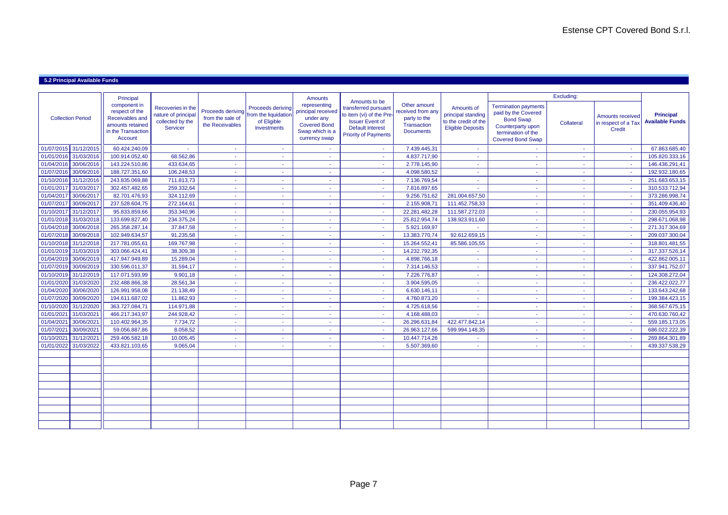#### **5.2 Principal Available Funds**

|                          | Principal                                                                                              |                                                                          |                                                          |                                                                         | <b>Amounts</b>                                                                                             |                                                                                                                                                       |                                                                                            |                                                                                      |                                                                                                                                               | Excluding: |                                                   |                                            |
|--------------------------|--------------------------------------------------------------------------------------------------------|--------------------------------------------------------------------------|----------------------------------------------------------|-------------------------------------------------------------------------|------------------------------------------------------------------------------------------------------------|-------------------------------------------------------------------------------------------------------------------------------------------------------|--------------------------------------------------------------------------------------------|--------------------------------------------------------------------------------------|-----------------------------------------------------------------------------------------------------------------------------------------------|------------|---------------------------------------------------|--------------------------------------------|
| <b>Collection Period</b> | component in<br>respect of the<br>Receivables and<br>amounts retained<br>in the Transaction<br>Account | Recoveries in the<br>nature of principal<br>collected by the<br>Servicer | Proceeds deriving<br>from the sale of<br>the Receivables | Proceeds deriving<br>from the liquidation<br>of Eligible<br>Investments | representing<br>principal received<br>under any<br><b>Covered Bond</b><br>Swap which is a<br>currency swap | Amounts to be<br>transferred pursuant<br>to item (vi) of the Pre-<br><b>Issuer Event of</b><br><b>Default Interest</b><br><b>Priority of Payments</b> | Other amount<br>eceived from any<br>party to the<br><b>Transaction</b><br><b>Documents</b> | Amounts of<br>principal standing<br>to the credit of the<br><b>Eligible Deposits</b> | <b>Termination payments</b><br>paid by the Covered<br><b>Bond Swap</b><br>Counterparty upon<br>termination of the<br><b>Covered Bond Swap</b> | Collateral | Amounts received<br>in respect of a Tax<br>Credit | <b>Principal</b><br><b>Available Funds</b> |
| 31/12/2015<br>01/07/2015 | 60.424.240,09                                                                                          | $\sim$                                                                   | $\sim$                                                   | $\sim$                                                                  | $\sim$                                                                                                     | $\sim$                                                                                                                                                | 7.439.445,31                                                                               | $\sim$                                                                               | $\sim$                                                                                                                                        | $\sim$     | $\sim$                                            | 67.863.685,40                              |
| 01/01/2016<br>31/03/2016 | 100.914.052,40                                                                                         | 68.562,86                                                                | $\sim$                                                   |                                                                         |                                                                                                            |                                                                                                                                                       | 4.837.717,90                                                                               | ÷.                                                                                   | $\sim$                                                                                                                                        | $\sim$     |                                                   | 105.820.333,16                             |
| 01/04/2016<br>30/06/2016 | 143.224.510,86                                                                                         | 433.634,65                                                               | $\sim$                                                   | $\sim$                                                                  | $\blacksquare$                                                                                             |                                                                                                                                                       | 2.778.145,90                                                                               | $\sim$                                                                               | $\sim$                                                                                                                                        | $\sim$     | $\sim$                                            | 146.436.291,41                             |
| 30/09/2016<br>01/07/2016 | 188.727.351,60                                                                                         | 106.248,53                                                               |                                                          |                                                                         |                                                                                                            |                                                                                                                                                       | 4.098.580,52                                                                               |                                                                                      | $\blacksquare$                                                                                                                                |            |                                                   | 192.932.180,65                             |
| 31/12/2016<br>01/10/2016 | 243.835.069,88                                                                                         | 711.813,73                                                               | $\sim$                                                   | $\sim$                                                                  | ÷.                                                                                                         | $\sim$                                                                                                                                                | 7.136.769,54                                                                               | $\mathcal{L}$                                                                        | ÷.                                                                                                                                            | $\sim$     | $\sim$                                            | 251.683.653,15                             |
| 01/01/2017<br>31/03/2017 | 302.457.482,65                                                                                         | 259.332,64                                                               | $\sim$                                                   |                                                                         | $\sim$                                                                                                     | $\sim$                                                                                                                                                | 7.816.897,65                                                                               |                                                                                      | $\sim$                                                                                                                                        | $\sim$     |                                                   | 310.533.712,94                             |
| 01/04/2017<br>30/06/2017 | 82.701.476,93                                                                                          | 324.112,69                                                               | $\sim$                                                   | $\sim$                                                                  | $\mathbf{r}$                                                                                               | $\sim$                                                                                                                                                | 9.256.751,62                                                                               | 281.004.657,50                                                                       | $\sim$                                                                                                                                        | $\sim$     | $\sim$                                            | 373.286.998,74                             |
| 01/07/2017<br>30/09/2017 | 237.528.604,75                                                                                         | 272.164,61                                                               |                                                          |                                                                         |                                                                                                            |                                                                                                                                                       | 2.155.908,71                                                                               | 111.452.758,33                                                                       | ÷.                                                                                                                                            |            |                                                   | 351.409.436,40                             |
| 01/10/2017<br>31/12/2017 | 95.833.859,66                                                                                          | 353.340,96                                                               | $\sim$                                                   | $\sim$                                                                  | ÷.                                                                                                         |                                                                                                                                                       | 22.281.482,28                                                                              | 111.587.272,03                                                                       | $\sim$                                                                                                                                        | $\sim$     |                                                   | 230.055.954,93                             |
| 01/01/2018<br>31/03/2018 | 133.699.827,40                                                                                         | 234.375,24                                                               | $\sim$                                                   |                                                                         | $\overline{\phantom{a}}$                                                                                   |                                                                                                                                                       | 25.812.954,74                                                                              | 138.923.911,60                                                                       | $\sim$                                                                                                                                        | $\sim$     |                                                   | 298.671.068,98                             |
| 01/04/2018<br>30/06/2018 | 265.358.287,14                                                                                         | 37.847,58                                                                | $\sim$                                                   | $\sim$                                                                  | $\mathbf{r}$                                                                                               | $\sim$                                                                                                                                                | 5.921.169,97                                                                               |                                                                                      | ÷.                                                                                                                                            | $\sim$     | $\sim$                                            | 271.317.304,69                             |
| 01/07/2018<br>30/09/2018 | 102.949.634,57                                                                                         | 91.235,58                                                                |                                                          |                                                                         |                                                                                                            |                                                                                                                                                       | 13.383.770,74                                                                              | 92.612.659,15                                                                        | ÷.                                                                                                                                            | $\sim$     |                                                   | 209.037.300,04                             |
| 01/10/2018<br>31/12/2018 | 217.781.055,61                                                                                         | 169.767,98                                                               | $\sim$                                                   | $\sim$                                                                  | $\sim$                                                                                                     | $\sim$                                                                                                                                                | 15.264.552,41                                                                              | 85.586.105,55                                                                        | $\sim$                                                                                                                                        | $\sim$     | $\sim$                                            | 318.801.481,55                             |
| 01/01/2019<br>31/03/2019 | 303.066.424,41                                                                                         | 38.309,38                                                                | $\sim$                                                   | $\sim$                                                                  | $\blacksquare$                                                                                             | $\sim$                                                                                                                                                | 14.232.792,35                                                                              | $\blacksquare$                                                                       | $\sim$                                                                                                                                        | $\sim$     | $\sim$                                            | 317.337.526,14                             |
| 01/04/2019<br>30/06/2019 | 417.947.949,89                                                                                         | 15.289,04                                                                | $\sim$                                                   | $\sim$                                                                  | ÷.                                                                                                         |                                                                                                                                                       | 4.898.766,18                                                                               | $\sim$                                                                               | $\sim$                                                                                                                                        | $\sim$     |                                                   | 422.862.005,11                             |
| 01/07/2019<br>30/09/2019 | 330.596.011,37                                                                                         | 31.594,17                                                                |                                                          |                                                                         |                                                                                                            |                                                                                                                                                       | 7.314.146,53                                                                               | $\sim$                                                                               | ÷.                                                                                                                                            | $\sim$     |                                                   | 337.941.752,07                             |
| 01/10/2019<br>31/12/2019 | 117.071.593,99                                                                                         | 9.901,18                                                                 | $\sim$                                                   | $\sim$                                                                  | ÷.                                                                                                         | $\sim$                                                                                                                                                | 7.226.776,87                                                                               | $\sim$                                                                               | $\sim$                                                                                                                                        | $\sim$     | $\sim$                                            | 124.308.272,04                             |
| 01/01/2020<br>31/03/2020 | 232.488.866,38                                                                                         | 28.561,34                                                                | $\sim$                                                   | $\sim$                                                                  | $\blacksquare$                                                                                             | $\sim$                                                                                                                                                | 3.904.595,05                                                                               | $\sim$                                                                               | $\sim$                                                                                                                                        | $\sim$     | $\sim$                                            | 236.422.022.77                             |
| 01/04/2020<br>30/06/2020 | 126.991.958,08                                                                                         | 21.138,49                                                                | $\sim$                                                   | $\sim$                                                                  | ÷                                                                                                          | $\sim$                                                                                                                                                | 6.630.146,11                                                                               | $\sim$                                                                               | ÷.                                                                                                                                            | $\sim$     | $\sim$                                            | 133.643.242,68                             |
| 01/07/2020<br>30/09/2020 | 194.611.687,02                                                                                         | 11.862,93                                                                | $\sim$                                                   | $\sim$                                                                  |                                                                                                            |                                                                                                                                                       | 4.760.873,20                                                                               | $\sim$                                                                               | $\sim$                                                                                                                                        | $\sim$     | $\sim$                                            | 199.384.423,15                             |
| 31/12/2020<br>01/10/2020 | 363.727.084,71                                                                                         | 114.971,88                                                               | $\sim$                                                   | $\sim$                                                                  | $\mathbf{r}$                                                                                               | $\sim$                                                                                                                                                | 4.725.618,56                                                                               | $\mathbf{r}$                                                                         | ÷.                                                                                                                                            | $\sim$     | $\sim$                                            | 368.567.675,15                             |
| 01/01/2021<br>31/03/2021 | 466.217.343,97                                                                                         | 244.928,42                                                               | $\sim$                                                   | $\sim$                                                                  | $\blacksquare$                                                                                             | $\sim$                                                                                                                                                | 4.168.488,03                                                                               | ٠                                                                                    | $\sim$                                                                                                                                        | $\sim$     | $\sim$                                            | 470.630.760,42                             |
| 01/04/2021<br>30/06/2021 | 110.402.964,35                                                                                         | 7.734,72                                                                 | $\sim$                                                   | $\sim$                                                                  | ÷.                                                                                                         | $\sim$                                                                                                                                                | 26.296.631,84                                                                              | 422.477.842,14                                                                       | $\sim$                                                                                                                                        | $\sim$     | $\sim$                                            | 559.185.173,05                             |
| 01/07/2021<br>30/09/2021 | 59.056.887,86                                                                                          | 8.058,52                                                                 | $\sim$                                                   | $\sim$                                                                  | $\sim$                                                                                                     |                                                                                                                                                       | 26.963.127,66                                                                              | 599.994.148,35                                                                       | $\sim$                                                                                                                                        | $\sim$     | $\sim$                                            | 686.022.222.39                             |
| 31/12/2021<br>01/10/2021 | 259.406.582,18                                                                                         | 10.005,45                                                                | $\sim$                                                   | $\sim$                                                                  | ÷.                                                                                                         |                                                                                                                                                       | 10.447.714,26                                                                              | $\omega$                                                                             | ÷.                                                                                                                                            | $\sim$     | $\sim$                                            | 269.864.301,89                             |
| 01/01/2022<br>31/03/2022 | 433.821.103,65                                                                                         | 9.065,04                                                                 | $\sim$                                                   | $\sim$                                                                  | $\sim$                                                                                                     | $\sim$                                                                                                                                                | 5.507.369,60                                                                               | $\sim$                                                                               | $\sim$                                                                                                                                        | $\sim$     | $\sim$                                            | 439.337.538,29                             |
|                          |                                                                                                        |                                                                          |                                                          |                                                                         |                                                                                                            |                                                                                                                                                       |                                                                                            |                                                                                      |                                                                                                                                               |            |                                                   |                                            |
|                          |                                                                                                        |                                                                          |                                                          |                                                                         |                                                                                                            |                                                                                                                                                       |                                                                                            |                                                                                      |                                                                                                                                               |            |                                                   |                                            |
|                          |                                                                                                        |                                                                          |                                                          |                                                                         |                                                                                                            |                                                                                                                                                       |                                                                                            |                                                                                      |                                                                                                                                               |            |                                                   |                                            |
|                          |                                                                                                        |                                                                          |                                                          |                                                                         |                                                                                                            |                                                                                                                                                       |                                                                                            |                                                                                      |                                                                                                                                               |            |                                                   |                                            |
|                          |                                                                                                        |                                                                          |                                                          |                                                                         |                                                                                                            |                                                                                                                                                       |                                                                                            |                                                                                      |                                                                                                                                               |            |                                                   |                                            |
|                          |                                                                                                        |                                                                          |                                                          |                                                                         |                                                                                                            |                                                                                                                                                       |                                                                                            |                                                                                      |                                                                                                                                               |            |                                                   |                                            |
|                          |                                                                                                        |                                                                          |                                                          |                                                                         |                                                                                                            |                                                                                                                                                       |                                                                                            |                                                                                      |                                                                                                                                               |            |                                                   |                                            |
|                          |                                                                                                        |                                                                          |                                                          |                                                                         |                                                                                                            |                                                                                                                                                       |                                                                                            |                                                                                      |                                                                                                                                               |            |                                                   |                                            |
|                          |                                                                                                        |                                                                          |                                                          |                                                                         |                                                                                                            |                                                                                                                                                       |                                                                                            |                                                                                      |                                                                                                                                               |            |                                                   |                                            |
|                          |                                                                                                        |                                                                          |                                                          |                                                                         |                                                                                                            |                                                                                                                                                       |                                                                                            |                                                                                      |                                                                                                                                               |            |                                                   |                                            |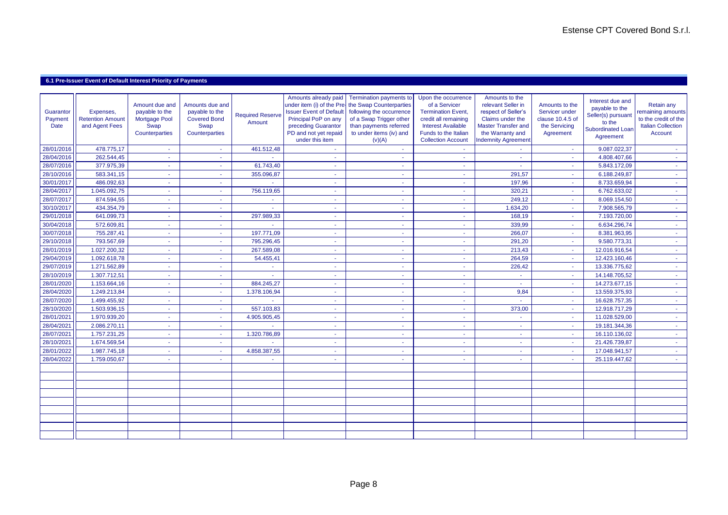#### **6.1 Pre-Issuer Event of Default Interest Priority of Payments**

| Guarantor<br>Payment<br><b>Date</b> | Expenses,<br><b>Retention Amount</b><br>and Agent Fees | Amount due and<br>payable to the<br>Mortgage Pool<br>Swap<br>Counterparties | Amounts due and<br>payable to the<br><b>Covered Bond</b><br>Swap<br>Counterparties | <b>Required Reserve</b><br>Amount | Amounts already paid<br>under item (i) of the Pre-<br><b>Issuer Event of Default</b><br>Principal PoP on any<br>preceding Guarantor<br>PD and not yet repaid<br>under this item | Termination payments to<br>the Swap Counterparties<br>following the occurrence<br>of a Swap Trigger other<br>than payments referred<br>to under items (iv) and<br>(v)(A) | Upon the occurrence<br>of a Servicer<br><b>Termination Event,</b><br>credit all remaining<br><b>Interest Available</b><br>Funds to the Italian<br><b>Collection Account</b> | Amounts to the<br>relevant Seller in<br>respect of Seller's<br>Claims under the<br>Master Transfer and<br>the Warranty and<br><b>ndemnity Agreement</b> | Amounts to the<br>Servicer under<br>clause 10.4.5 of<br>the Servicing<br>Agreement | Interest due and<br>payable to the<br>Seller(s) pursuant<br>to the<br><b>Subordinated Loan</b><br>Agreement | Retain any<br>remaining amounts<br>to the credit of the<br><b>Italian Collection</b><br>Account |
|-------------------------------------|--------------------------------------------------------|-----------------------------------------------------------------------------|------------------------------------------------------------------------------------|-----------------------------------|---------------------------------------------------------------------------------------------------------------------------------------------------------------------------------|--------------------------------------------------------------------------------------------------------------------------------------------------------------------------|-----------------------------------------------------------------------------------------------------------------------------------------------------------------------------|---------------------------------------------------------------------------------------------------------------------------------------------------------|------------------------------------------------------------------------------------|-------------------------------------------------------------------------------------------------------------|-------------------------------------------------------------------------------------------------|
| 28/01/2016                          | 478.775,17                                             | $\sim$                                                                      | $\sim$                                                                             | 461.512,48                        | . .                                                                                                                                                                             | $\sim$                                                                                                                                                                   |                                                                                                                                                                             |                                                                                                                                                         | ÷.                                                                                 | 9.087.022,37                                                                                                | $\sim$                                                                                          |
| 28/04/2016                          | 262.544,45                                             | ÷.                                                                          | $\sim$                                                                             |                                   | . .                                                                                                                                                                             | $\sim$                                                                                                                                                                   | ÷                                                                                                                                                                           | $\overline{\phantom{a}}$                                                                                                                                | ÷.                                                                                 | 4.808.407,66                                                                                                | $\sim$                                                                                          |
| 28/07/2016                          | 377.975,39                                             |                                                                             | $\sim$                                                                             | 61.743,40                         | $\sim$                                                                                                                                                                          | $\sim$                                                                                                                                                                   | ٠                                                                                                                                                                           |                                                                                                                                                         | $\sim$                                                                             | 5.843.172,09                                                                                                | $\sim$                                                                                          |
| 28/10/2016                          | 583.341,15                                             |                                                                             | $\sim$                                                                             | 355.096,87                        | . .                                                                                                                                                                             | . .                                                                                                                                                                      | ÷.                                                                                                                                                                          | 291,57                                                                                                                                                  | $\mathbf{r}$                                                                       | 6.188.249,87                                                                                                | $\omega$                                                                                        |
| 30/01/2017                          | 486.092,63                                             | $\sim$                                                                      | $\sim$                                                                             |                                   | ÷.                                                                                                                                                                              | $\sim$                                                                                                                                                                   | ÷.                                                                                                                                                                          | 197,96                                                                                                                                                  | $\sim$                                                                             | 8.733.659,94                                                                                                | $\sim$                                                                                          |
| 28/04/2017                          | 1.045.092,75                                           |                                                                             | $\sim$                                                                             | 756.119,65                        | $\sim$                                                                                                                                                                          | $\sim$                                                                                                                                                                   | ٠                                                                                                                                                                           | 320,21                                                                                                                                                  | $\sim$                                                                             | 6.762.633,02                                                                                                | $\sim$                                                                                          |
| 28/07/2017                          | 874.594,55                                             | $\sim$                                                                      | $\sim$                                                                             |                                   | $\sim$                                                                                                                                                                          | $\sim$                                                                                                                                                                   | ÷.                                                                                                                                                                          | 249,12                                                                                                                                                  | $\mathbf{r}$                                                                       | 8.069.154,50                                                                                                | $\sim$                                                                                          |
| 30/10/2017                          | 434.354,79                                             |                                                                             | $\sim$                                                                             |                                   | $\sim$                                                                                                                                                                          | ÷.                                                                                                                                                                       | ×.                                                                                                                                                                          | 1.634,20                                                                                                                                                | ÷.                                                                                 | 7.908.565,79                                                                                                | $\sim$                                                                                          |
| 29/01/2018                          | 641.099,73                                             |                                                                             |                                                                                    | 297.989,33                        |                                                                                                                                                                                 |                                                                                                                                                                          |                                                                                                                                                                             | 168,19                                                                                                                                                  |                                                                                    | 7.193.720,00                                                                                                | ÷.                                                                                              |
| 30/04/2018                          | 572.609,81                                             | $\sim$                                                                      | $\sim$                                                                             |                                   | $\sim$                                                                                                                                                                          | $\sim$                                                                                                                                                                   | ÷.                                                                                                                                                                          | 339,99                                                                                                                                                  | $\sim$                                                                             | 6.634.296,74                                                                                                | $\sim$                                                                                          |
| 30/07/2018                          | 755.287,41                                             | ÷                                                                           | $\sim$                                                                             | 197.771.09                        | ÷.                                                                                                                                                                              | $\sim$                                                                                                                                                                   | ×.                                                                                                                                                                          | 266,07                                                                                                                                                  | $\sim$                                                                             | 8.381.963,95                                                                                                | $\sim$                                                                                          |
| 29/10/2018                          | 793.567.69                                             |                                                                             |                                                                                    | 795.296.45                        | $\sim$                                                                                                                                                                          | $\sim$                                                                                                                                                                   | ٠                                                                                                                                                                           | 291,20                                                                                                                                                  | $\sim$                                                                             | 9.580.773,31                                                                                                | $\sim$                                                                                          |
| 28/01/2019                          | 1.027.200,32                                           |                                                                             |                                                                                    | 267.589,08                        | $\sim$                                                                                                                                                                          | $\sim$                                                                                                                                                                   | ×.                                                                                                                                                                          | 213,43                                                                                                                                                  | ÷.                                                                                 | 12.016.916,54                                                                                               | $\sim$                                                                                          |
| 29/04/2019                          | 1.092.618,78                                           |                                                                             |                                                                                    | 54.455,41                         | ж.                                                                                                                                                                              | $\sim$                                                                                                                                                                   | ÷                                                                                                                                                                           | 264,59                                                                                                                                                  | $\sim$                                                                             | 12.423.160,46                                                                                               | $\omega$                                                                                        |
| 29/07/2019                          | 1.271.562,89                                           |                                                                             |                                                                                    |                                   | . .                                                                                                                                                                             | . .                                                                                                                                                                      | ×.                                                                                                                                                                          | 226,42                                                                                                                                                  | ×.                                                                                 | 13.336.775,62                                                                                               | $\sim$                                                                                          |
| 28/10/2019                          | 1.307.712,51                                           | $\sim$                                                                      | ÷.                                                                                 |                                   | $\sim$                                                                                                                                                                          | ÷.                                                                                                                                                                       | ÷                                                                                                                                                                           | ٠                                                                                                                                                       | $\sim$                                                                             | 14.148.705,52                                                                                               | $\sim$                                                                                          |
| 28/01/2020                          | 1.153.664,16                                           |                                                                             | $\sim$                                                                             | 884.245,27                        | ÷.                                                                                                                                                                              | $\sim$                                                                                                                                                                   | ×.                                                                                                                                                                          | ä,                                                                                                                                                      | $\sim$                                                                             | 14.273.677,15                                                                                               | $\sim$                                                                                          |
| 28/04/2020                          | 1.249.213,84                                           | . .                                                                         | $\sim$                                                                             | 1.378.106,94                      | . .                                                                                                                                                                             | . .                                                                                                                                                                      | ÷.                                                                                                                                                                          | 9,84                                                                                                                                                    | $\sim$                                                                             | 13.559.375,93                                                                                               | $\omega$                                                                                        |
| 28/07/2020                          | 1.499.455,92                                           | ÷.                                                                          | $\sim$                                                                             |                                   | $\sim$                                                                                                                                                                          | $\sim$                                                                                                                                                                   | ÷                                                                                                                                                                           |                                                                                                                                                         | $\sim$                                                                             | 16.628.757,35                                                                                               | $\omega$                                                                                        |
| 28/10/2020                          | 1.503.936,15                                           |                                                                             |                                                                                    | 557.103,83                        | . .                                                                                                                                                                             |                                                                                                                                                                          |                                                                                                                                                                             | 373,00                                                                                                                                                  | $\sim$                                                                             | 12.918.717,29                                                                                               | $\sim$                                                                                          |
| 28/01/2021                          | 1.970.939,20                                           |                                                                             |                                                                                    | 4.905.905,45                      | . .                                                                                                                                                                             | . .                                                                                                                                                                      | ÷.                                                                                                                                                                          |                                                                                                                                                         | $\sim$                                                                             | 11.028.529,00                                                                                               | $\sim$                                                                                          |
| 28/04/2021                          | 2.086.270,11                                           |                                                                             | $\sim$                                                                             |                                   | ÷.                                                                                                                                                                              | . .                                                                                                                                                                      | ä.                                                                                                                                                                          | $\overline{\phantom{a}}$                                                                                                                                | $\sim$                                                                             | 19.181.344,36                                                                                               | $\sim$                                                                                          |
| 28/07/2021                          | 1.757.231,25                                           |                                                                             | $\sim$                                                                             | 1.320.786,89                      | $\sim$                                                                                                                                                                          | $\sim$                                                                                                                                                                   | ٠                                                                                                                                                                           | ٠                                                                                                                                                       | $\sim$                                                                             | 16.110.136,02                                                                                               | $\sim$                                                                                          |
| 28/10/2021                          | 1.674.569,54                                           | ÷.                                                                          | $\sim$                                                                             |                                   | ÷.                                                                                                                                                                              | ÷.                                                                                                                                                                       | ÷.                                                                                                                                                                          | ÷                                                                                                                                                       | $\sim$                                                                             | 21.426.739,87                                                                                               | $\sim$                                                                                          |
| 28/01/2022                          | 1.987.745,18                                           | ÷                                                                           | $\sim$                                                                             | 4.858.387,55                      | ÷.                                                                                                                                                                              | ÷.                                                                                                                                                                       | ×.                                                                                                                                                                          | $\overline{\phantom{a}}$                                                                                                                                | $\sim$                                                                             | 17.048.941,57                                                                                               | $\sim$                                                                                          |
| 28/04/2022                          | 1.759.050,67                                           |                                                                             |                                                                                    |                                   |                                                                                                                                                                                 |                                                                                                                                                                          |                                                                                                                                                                             |                                                                                                                                                         |                                                                                    | 25.119.447,62                                                                                               |                                                                                                 |
|                                     |                                                        |                                                                             |                                                                                    |                                   |                                                                                                                                                                                 |                                                                                                                                                                          |                                                                                                                                                                             |                                                                                                                                                         |                                                                                    |                                                                                                             |                                                                                                 |
|                                     |                                                        |                                                                             |                                                                                    |                                   |                                                                                                                                                                                 |                                                                                                                                                                          |                                                                                                                                                                             |                                                                                                                                                         |                                                                                    |                                                                                                             |                                                                                                 |
|                                     |                                                        |                                                                             |                                                                                    |                                   |                                                                                                                                                                                 |                                                                                                                                                                          |                                                                                                                                                                             |                                                                                                                                                         |                                                                                    |                                                                                                             |                                                                                                 |
|                                     |                                                        |                                                                             |                                                                                    |                                   |                                                                                                                                                                                 |                                                                                                                                                                          |                                                                                                                                                                             |                                                                                                                                                         |                                                                                    |                                                                                                             |                                                                                                 |
|                                     |                                                        |                                                                             |                                                                                    |                                   |                                                                                                                                                                                 |                                                                                                                                                                          |                                                                                                                                                                             |                                                                                                                                                         |                                                                                    |                                                                                                             |                                                                                                 |
|                                     |                                                        |                                                                             |                                                                                    |                                   |                                                                                                                                                                                 |                                                                                                                                                                          |                                                                                                                                                                             |                                                                                                                                                         |                                                                                    |                                                                                                             |                                                                                                 |
|                                     |                                                        |                                                                             |                                                                                    |                                   |                                                                                                                                                                                 |                                                                                                                                                                          |                                                                                                                                                                             |                                                                                                                                                         |                                                                                    |                                                                                                             |                                                                                                 |
|                                     |                                                        |                                                                             |                                                                                    |                                   |                                                                                                                                                                                 |                                                                                                                                                                          |                                                                                                                                                                             |                                                                                                                                                         |                                                                                    |                                                                                                             |                                                                                                 |
|                                     |                                                        |                                                                             |                                                                                    |                                   |                                                                                                                                                                                 |                                                                                                                                                                          |                                                                                                                                                                             |                                                                                                                                                         |                                                                                    |                                                                                                             |                                                                                                 |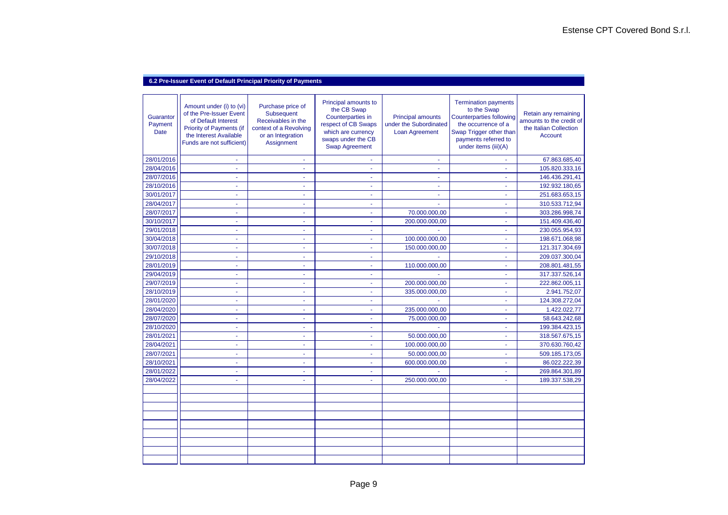### **6.2 Pre-Issuer Event of Default Principal Priority of Payments**

| Guarantor<br>Payment<br><b>Date</b> | Amount under (i) to (vi)<br>of the Pre-Issuer Event<br>of Default Interest<br><b>Priority of Payments (if</b><br>the Interest Available<br>Funds are not sufficient) | Purchase price of<br>Subsequent<br>Receivables in the<br>context of a Revolving<br>or an Integration<br>Assignment | Principal amounts to<br>the CB Swap<br><b>Counterparties in</b><br>respect of CB Swaps<br>which are currency<br>swaps under the CB<br><b>Swap Agreement</b> | <b>Principal amounts</b><br>under the Subordinated<br>Loan Agreement | <b>Termination payments</b><br>to the Swap<br><b>Counterparties following</b><br>the occurrence of a<br>Swap Trigger other than<br>payments referred to<br>under items (iii)(A) | Retain any remaining<br>amounts to the credit of<br>the Italian Collection<br>Account |
|-------------------------------------|----------------------------------------------------------------------------------------------------------------------------------------------------------------------|--------------------------------------------------------------------------------------------------------------------|-------------------------------------------------------------------------------------------------------------------------------------------------------------|----------------------------------------------------------------------|---------------------------------------------------------------------------------------------------------------------------------------------------------------------------------|---------------------------------------------------------------------------------------|
| 28/01/2016                          | ä,                                                                                                                                                                   | ×.                                                                                                                 | $\blacksquare$                                                                                                                                              | $\blacksquare$                                                       | ÷.                                                                                                                                                                              | 67.863.685,40                                                                         |
| 28/04/2016                          | $\sim$                                                                                                                                                               | $\sim$                                                                                                             | $\sim$                                                                                                                                                      | $\sim$                                                               | ٠                                                                                                                                                                               | 105.820.333,16                                                                        |
| 28/07/2016                          | $\sim$                                                                                                                                                               |                                                                                                                    | ä,                                                                                                                                                          | ä,                                                                   | ٠                                                                                                                                                                               | 146.436.291,41                                                                        |
| 28/10/2016                          | ٠                                                                                                                                                                    | $\sim$                                                                                                             | u.                                                                                                                                                          | ÷.                                                                   | <b>A</b>                                                                                                                                                                        | 192.932.180,65                                                                        |
| 30/01/2017                          | $\sim$                                                                                                                                                               | i.                                                                                                                 | $\alpha$                                                                                                                                                    | ٠                                                                    | <b>A</b>                                                                                                                                                                        | 251.683.653,15                                                                        |
| 28/04/2017                          | ä,                                                                                                                                                                   | $\sim$                                                                                                             | ä,                                                                                                                                                          | ä,                                                                   | ÷.                                                                                                                                                                              | 310.533.712,94                                                                        |
| 28/07/2017                          | ä,                                                                                                                                                                   |                                                                                                                    | ä,                                                                                                                                                          | 70.000.000,00                                                        | $\sim$                                                                                                                                                                          | 303.286.998,74                                                                        |
| 30/10/2017                          | $\blacksquare$                                                                                                                                                       | ÷.                                                                                                                 | $\blacksquare$                                                                                                                                              | 200.000.000,00                                                       | ÷.                                                                                                                                                                              | 151.409.436,40                                                                        |
| 29/01/2018                          | ä,                                                                                                                                                                   | ÷.                                                                                                                 | ä,                                                                                                                                                          |                                                                      | $\sim$                                                                                                                                                                          | 230.055.954,93                                                                        |
| 30/04/2018                          | $\sim$                                                                                                                                                               |                                                                                                                    | ä,                                                                                                                                                          | 100.000.000,00                                                       | ä,                                                                                                                                                                              | 198.671.068,98                                                                        |
| 30/07/2018                          | $\sim$                                                                                                                                                               | $\sim$                                                                                                             | ä,                                                                                                                                                          | 150.000.000,00                                                       | $\sim$                                                                                                                                                                          | 121.317.304,69                                                                        |
| 29/10/2018                          | $\sim$                                                                                                                                                               | ÷.                                                                                                                 | $\omega$                                                                                                                                                    |                                                                      | $\sim$                                                                                                                                                                          | 209.037.300,04                                                                        |
| 28/01/2019                          | ٠                                                                                                                                                                    | $\sim$                                                                                                             | $\sim$                                                                                                                                                      | 110.000.000,00                                                       | $\sim$                                                                                                                                                                          | 208.801.481,55                                                                        |
| 29/04/2019                          | ÷                                                                                                                                                                    |                                                                                                                    | ä,                                                                                                                                                          |                                                                      | $\sim$                                                                                                                                                                          | 317.337.526,14                                                                        |
| 29/07/2019                          | ä,                                                                                                                                                                   | ×.                                                                                                                 | ä,                                                                                                                                                          | 200.000.000,00                                                       | ÷.                                                                                                                                                                              | 222.862.005,11                                                                        |
| 28/10/2019                          | ä                                                                                                                                                                    | i.                                                                                                                 | ä,                                                                                                                                                          | 335.000.000,00                                                       | $\sim$                                                                                                                                                                          | 2.941.752,07                                                                          |
| 28/01/2020                          | ä,                                                                                                                                                                   | ×.                                                                                                                 | $\blacksquare$                                                                                                                                              | L.                                                                   | ÷.                                                                                                                                                                              | 124.308.272,04                                                                        |
| 28/04/2020                          | ٠                                                                                                                                                                    | $\sim$                                                                                                             | $\blacksquare$                                                                                                                                              | 235.000.000,00                                                       | $\blacksquare$                                                                                                                                                                  | 1.422.022,77                                                                          |
| 28/07/2020                          | ä,                                                                                                                                                                   | ÷.                                                                                                                 | ä,                                                                                                                                                          | 75.000.000,00                                                        | ÷,                                                                                                                                                                              | 58.643.242,68                                                                         |
| 28/10/2020                          | $\overline{\phantom{a}}$                                                                                                                                             | $\sim$                                                                                                             | $\sim$                                                                                                                                                      |                                                                      | $\sim$                                                                                                                                                                          | 199.384.423,15                                                                        |
| 28/01/2021                          | ×                                                                                                                                                                    | ÷.                                                                                                                 | ä,                                                                                                                                                          | 50.000.000,00                                                        | <b>A</b>                                                                                                                                                                        | 318.567.675,15                                                                        |
| 28/04/2021                          | ٠                                                                                                                                                                    | $\sim$                                                                                                             | $\sim$                                                                                                                                                      | 100.000.000,00                                                       | $\sim$                                                                                                                                                                          | 370.630.760,42                                                                        |
| 28/07/2021                          | ä,                                                                                                                                                                   | <b>A</b>                                                                                                           | ä,                                                                                                                                                          | 50.000.000,00                                                        | ÷.                                                                                                                                                                              | 509.185.173,05                                                                        |
| 28/10/2021                          | ä,                                                                                                                                                                   | ÷.                                                                                                                 | ä,                                                                                                                                                          | 600.000.000,00                                                       | ÷.                                                                                                                                                                              | 86.022.222,39                                                                         |
| 28/01/2022                          | ä                                                                                                                                                                    | $\sim$                                                                                                             | ä,                                                                                                                                                          |                                                                      | $\sim$                                                                                                                                                                          | 269.864.301,89                                                                        |
| 28/04/2022                          | ä,                                                                                                                                                                   | $\blacksquare$                                                                                                     | $\blacksquare$                                                                                                                                              | 250.000.000,00                                                       | ÷.                                                                                                                                                                              | 189.337.538,29                                                                        |
|                                     |                                                                                                                                                                      |                                                                                                                    |                                                                                                                                                             |                                                                      |                                                                                                                                                                                 |                                                                                       |
|                                     |                                                                                                                                                                      |                                                                                                                    |                                                                                                                                                             |                                                                      |                                                                                                                                                                                 |                                                                                       |
|                                     |                                                                                                                                                                      |                                                                                                                    |                                                                                                                                                             |                                                                      |                                                                                                                                                                                 |                                                                                       |
|                                     |                                                                                                                                                                      |                                                                                                                    |                                                                                                                                                             |                                                                      |                                                                                                                                                                                 |                                                                                       |
|                                     |                                                                                                                                                                      |                                                                                                                    |                                                                                                                                                             |                                                                      |                                                                                                                                                                                 |                                                                                       |
|                                     |                                                                                                                                                                      |                                                                                                                    |                                                                                                                                                             |                                                                      |                                                                                                                                                                                 |                                                                                       |
|                                     |                                                                                                                                                                      |                                                                                                                    |                                                                                                                                                             |                                                                      |                                                                                                                                                                                 |                                                                                       |
|                                     |                                                                                                                                                                      |                                                                                                                    |                                                                                                                                                             |                                                                      |                                                                                                                                                                                 |                                                                                       |
|                                     |                                                                                                                                                                      |                                                                                                                    |                                                                                                                                                             |                                                                      |                                                                                                                                                                                 |                                                                                       |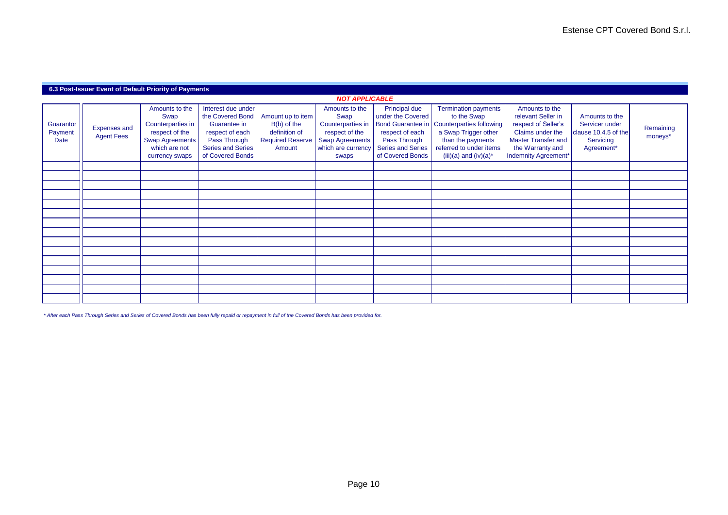| 6.3 Post-Issuer Event of Default Priority of Payments |
|-------------------------------------------------------|
|                                                       |

|                                     | <b>NOT APPLICABLE</b>                    |                                                                                                                            |                                                                                                                                           |                                                                                          |                                                                                                                        |                                                                                                                                                   |                                                                                                                                                                            |                                                                                                                                                           |                                                                                     |                      |  |  |  |  |
|-------------------------------------|------------------------------------------|----------------------------------------------------------------------------------------------------------------------------|-------------------------------------------------------------------------------------------------------------------------------------------|------------------------------------------------------------------------------------------|------------------------------------------------------------------------------------------------------------------------|---------------------------------------------------------------------------------------------------------------------------------------------------|----------------------------------------------------------------------------------------------------------------------------------------------------------------------------|-----------------------------------------------------------------------------------------------------------------------------------------------------------|-------------------------------------------------------------------------------------|----------------------|--|--|--|--|
| Guarantor<br>Payment<br><b>Date</b> | <b>Expenses and</b><br><b>Agent Fees</b> | Amounts to the<br>Swap<br>Counterparties in<br>respect of the<br><b>Swap Agreements</b><br>which are not<br>currency swaps | Interest due under<br>the Covered Bond<br>Guarantee in<br>respect of each<br>Pass Through<br><b>Series and Series</b><br>of Covered Bonds | Amount up to item<br>$B(b)$ of the<br>definition of<br><b>Required Reserve</b><br>Amount | Amounts to the<br>Swap<br>Counterparties in<br>respect of the<br><b>Swap Agreements</b><br>which are currency<br>swaps | Principal due<br>under the Covered<br><b>Bond Guarantee in</b><br>respect of each<br>Pass Through<br><b>Series and Series</b><br>of Covered Bonds | <b>Termination payments</b><br>to the Swap<br>Counterparties following<br>a Swap Trigger other<br>than the payments<br>referred to under items<br>(iii)(a) and $(iv)(a)^*$ | Amounts to the<br>relevant Seller in<br>respect of Seller's<br>Claims under the<br><b>Master Transfer and</b><br>the Warranty and<br>Indemnity Agreement* | Amounts to the<br>Servicer under<br>clause 10.4.5 of the<br>Servicing<br>Agreement* | Remaining<br>moneys* |  |  |  |  |
|                                     |                                          |                                                                                                                            |                                                                                                                                           |                                                                                          |                                                                                                                        |                                                                                                                                                   |                                                                                                                                                                            |                                                                                                                                                           |                                                                                     |                      |  |  |  |  |
|                                     |                                          |                                                                                                                            |                                                                                                                                           |                                                                                          |                                                                                                                        |                                                                                                                                                   |                                                                                                                                                                            |                                                                                                                                                           |                                                                                     |                      |  |  |  |  |
|                                     |                                          |                                                                                                                            |                                                                                                                                           |                                                                                          |                                                                                                                        |                                                                                                                                                   |                                                                                                                                                                            |                                                                                                                                                           |                                                                                     |                      |  |  |  |  |
|                                     |                                          |                                                                                                                            |                                                                                                                                           |                                                                                          |                                                                                                                        |                                                                                                                                                   |                                                                                                                                                                            |                                                                                                                                                           |                                                                                     |                      |  |  |  |  |
|                                     |                                          |                                                                                                                            |                                                                                                                                           |                                                                                          |                                                                                                                        |                                                                                                                                                   |                                                                                                                                                                            |                                                                                                                                                           |                                                                                     |                      |  |  |  |  |
|                                     |                                          |                                                                                                                            |                                                                                                                                           |                                                                                          |                                                                                                                        |                                                                                                                                                   |                                                                                                                                                                            |                                                                                                                                                           |                                                                                     |                      |  |  |  |  |
|                                     |                                          |                                                                                                                            |                                                                                                                                           |                                                                                          |                                                                                                                        |                                                                                                                                                   |                                                                                                                                                                            |                                                                                                                                                           |                                                                                     |                      |  |  |  |  |
|                                     |                                          |                                                                                                                            |                                                                                                                                           |                                                                                          |                                                                                                                        |                                                                                                                                                   |                                                                                                                                                                            |                                                                                                                                                           |                                                                                     |                      |  |  |  |  |
|                                     |                                          |                                                                                                                            |                                                                                                                                           |                                                                                          |                                                                                                                        |                                                                                                                                                   |                                                                                                                                                                            |                                                                                                                                                           |                                                                                     |                      |  |  |  |  |
|                                     |                                          |                                                                                                                            |                                                                                                                                           |                                                                                          |                                                                                                                        |                                                                                                                                                   |                                                                                                                                                                            |                                                                                                                                                           |                                                                                     |                      |  |  |  |  |
|                                     |                                          |                                                                                                                            |                                                                                                                                           |                                                                                          |                                                                                                                        |                                                                                                                                                   |                                                                                                                                                                            |                                                                                                                                                           |                                                                                     |                      |  |  |  |  |
|                                     |                                          |                                                                                                                            |                                                                                                                                           |                                                                                          |                                                                                                                        |                                                                                                                                                   |                                                                                                                                                                            |                                                                                                                                                           |                                                                                     |                      |  |  |  |  |
|                                     |                                          |                                                                                                                            |                                                                                                                                           |                                                                                          |                                                                                                                        |                                                                                                                                                   |                                                                                                                                                                            |                                                                                                                                                           |                                                                                     |                      |  |  |  |  |
|                                     |                                          |                                                                                                                            |                                                                                                                                           |                                                                                          |                                                                                                                        |                                                                                                                                                   |                                                                                                                                                                            |                                                                                                                                                           |                                                                                     |                      |  |  |  |  |
|                                     |                                          |                                                                                                                            |                                                                                                                                           |                                                                                          |                                                                                                                        |                                                                                                                                                   |                                                                                                                                                                            |                                                                                                                                                           |                                                                                     |                      |  |  |  |  |

*\* After each Pass Through Series and Series of Covered Bonds has been fully repaid or repayment in full of the Covered Bonds has been provided for.*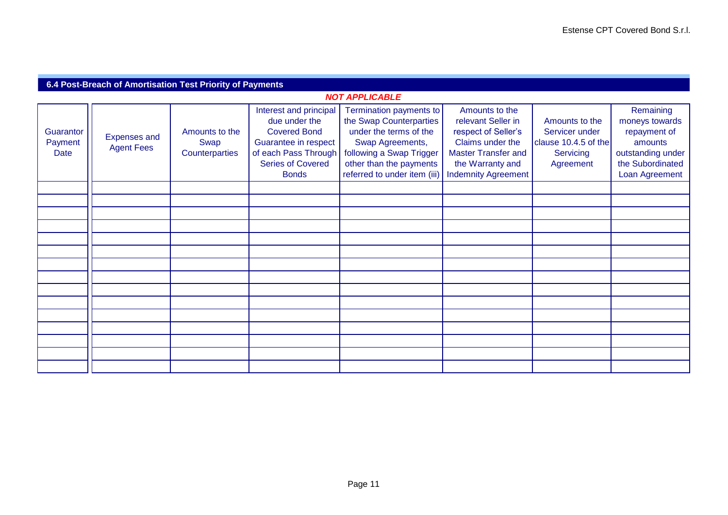| 6.4 Post-Breach of Amortisation Test Priority of Payments |                                          |                                          |                                                                                                                                                            |                                                                                                                                                                                         |                                                                                                                                                                 |                                                                                    |                                                                                                                   |  |  |  |  |  |  |  |
|-----------------------------------------------------------|------------------------------------------|------------------------------------------|------------------------------------------------------------------------------------------------------------------------------------------------------------|-----------------------------------------------------------------------------------------------------------------------------------------------------------------------------------------|-----------------------------------------------------------------------------------------------------------------------------------------------------------------|------------------------------------------------------------------------------------|-------------------------------------------------------------------------------------------------------------------|--|--|--|--|--|--|--|
|                                                           | <b>NOT APPLICABLE</b>                    |                                          |                                                                                                                                                            |                                                                                                                                                                                         |                                                                                                                                                                 |                                                                                    |                                                                                                                   |  |  |  |  |  |  |  |
| Guarantor<br>Payment<br><b>Date</b>                       | <b>Expenses and</b><br><b>Agent Fees</b> | Amounts to the<br>Swap<br>Counterparties | Interest and principal<br>due under the<br><b>Covered Bond</b><br>Guarantee in respect<br>of each Pass Through<br><b>Series of Covered</b><br><b>Bonds</b> | Termination payments to<br>the Swap Counterparties<br>under the terms of the<br>Swap Agreements,<br>following a Swap Trigger<br>other than the payments<br>referred to under item (iii) | Amounts to the<br>relevant Seller in<br>respect of Seller's<br>Claims under the<br><b>Master Transfer and</b><br>the Warranty and<br><b>Indemnity Agreement</b> | Amounts to the<br>Servicer under<br>clause 10.4.5 of the<br>Servicing<br>Agreement | Remaining<br>moneys towards<br>repayment of<br>amounts<br>outstanding under<br>the Subordinated<br>Loan Agreement |  |  |  |  |  |  |  |
|                                                           |                                          |                                          |                                                                                                                                                            |                                                                                                                                                                                         |                                                                                                                                                                 |                                                                                    |                                                                                                                   |  |  |  |  |  |  |  |
|                                                           |                                          |                                          |                                                                                                                                                            |                                                                                                                                                                                         |                                                                                                                                                                 |                                                                                    |                                                                                                                   |  |  |  |  |  |  |  |
|                                                           |                                          |                                          |                                                                                                                                                            |                                                                                                                                                                                         |                                                                                                                                                                 |                                                                                    |                                                                                                                   |  |  |  |  |  |  |  |
|                                                           |                                          |                                          |                                                                                                                                                            |                                                                                                                                                                                         |                                                                                                                                                                 |                                                                                    |                                                                                                                   |  |  |  |  |  |  |  |
|                                                           |                                          |                                          |                                                                                                                                                            |                                                                                                                                                                                         |                                                                                                                                                                 |                                                                                    |                                                                                                                   |  |  |  |  |  |  |  |
|                                                           |                                          |                                          |                                                                                                                                                            |                                                                                                                                                                                         |                                                                                                                                                                 |                                                                                    |                                                                                                                   |  |  |  |  |  |  |  |
|                                                           |                                          |                                          |                                                                                                                                                            |                                                                                                                                                                                         |                                                                                                                                                                 |                                                                                    |                                                                                                                   |  |  |  |  |  |  |  |
|                                                           |                                          |                                          |                                                                                                                                                            |                                                                                                                                                                                         |                                                                                                                                                                 |                                                                                    |                                                                                                                   |  |  |  |  |  |  |  |
|                                                           |                                          |                                          |                                                                                                                                                            |                                                                                                                                                                                         |                                                                                                                                                                 |                                                                                    |                                                                                                                   |  |  |  |  |  |  |  |
|                                                           |                                          |                                          |                                                                                                                                                            |                                                                                                                                                                                         |                                                                                                                                                                 |                                                                                    |                                                                                                                   |  |  |  |  |  |  |  |
|                                                           |                                          |                                          |                                                                                                                                                            |                                                                                                                                                                                         |                                                                                                                                                                 |                                                                                    |                                                                                                                   |  |  |  |  |  |  |  |
|                                                           |                                          |                                          |                                                                                                                                                            |                                                                                                                                                                                         |                                                                                                                                                                 |                                                                                    |                                                                                                                   |  |  |  |  |  |  |  |
|                                                           |                                          |                                          |                                                                                                                                                            |                                                                                                                                                                                         |                                                                                                                                                                 |                                                                                    |                                                                                                                   |  |  |  |  |  |  |  |
|                                                           |                                          |                                          |                                                                                                                                                            |                                                                                                                                                                                         |                                                                                                                                                                 |                                                                                    |                                                                                                                   |  |  |  |  |  |  |  |
|                                                           |                                          |                                          |                                                                                                                                                            |                                                                                                                                                                                         |                                                                                                                                                                 |                                                                                    |                                                                                                                   |  |  |  |  |  |  |  |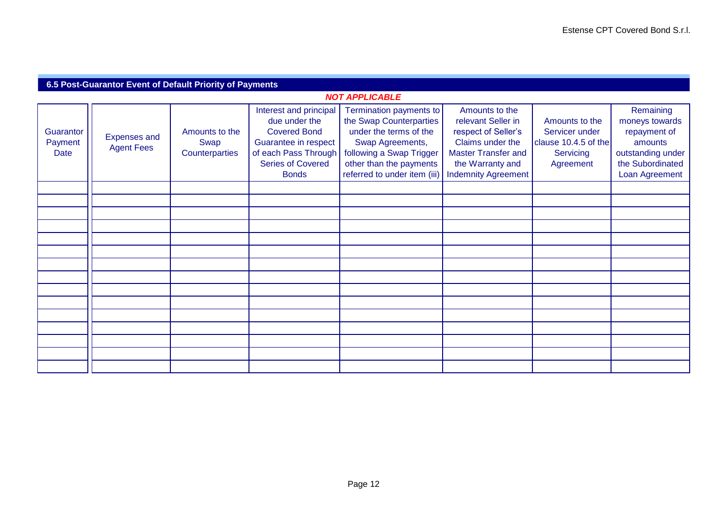|                                     | 6.5 Post-Guarantor Event of Default Priority of Payments |                                          |                                                                                                                                                            |                                                                                                                                                                                         |                                                                                                                                                                 |                                                                                    |                                                                                                                   |  |  |  |  |  |  |
|-------------------------------------|----------------------------------------------------------|------------------------------------------|------------------------------------------------------------------------------------------------------------------------------------------------------------|-----------------------------------------------------------------------------------------------------------------------------------------------------------------------------------------|-----------------------------------------------------------------------------------------------------------------------------------------------------------------|------------------------------------------------------------------------------------|-------------------------------------------------------------------------------------------------------------------|--|--|--|--|--|--|
|                                     |                                                          |                                          |                                                                                                                                                            | <b>NOT APPLICABLE</b>                                                                                                                                                                   |                                                                                                                                                                 |                                                                                    |                                                                                                                   |  |  |  |  |  |  |
| Guarantor<br>Payment<br><b>Date</b> | <b>Expenses and</b><br><b>Agent Fees</b>                 | Amounts to the<br>Swap<br>Counterparties | Interest and principal<br>due under the<br><b>Covered Bond</b><br>Guarantee in respect<br>of each Pass Through<br><b>Series of Covered</b><br><b>Bonds</b> | Termination payments to<br>the Swap Counterparties<br>under the terms of the<br>Swap Agreements,<br>following a Swap Trigger<br>other than the payments<br>referred to under item (iii) | Amounts to the<br>relevant Seller in<br>respect of Seller's<br>Claims under the<br><b>Master Transfer and</b><br>the Warranty and<br><b>Indemnity Agreement</b> | Amounts to the<br>Servicer under<br>clause 10.4.5 of the<br>Servicing<br>Agreement | Remaining<br>moneys towards<br>repayment of<br>amounts<br>outstanding under<br>the Subordinated<br>Loan Agreement |  |  |  |  |  |  |
|                                     |                                                          |                                          |                                                                                                                                                            |                                                                                                                                                                                         |                                                                                                                                                                 |                                                                                    |                                                                                                                   |  |  |  |  |  |  |
|                                     |                                                          |                                          |                                                                                                                                                            |                                                                                                                                                                                         |                                                                                                                                                                 |                                                                                    |                                                                                                                   |  |  |  |  |  |  |
|                                     |                                                          |                                          |                                                                                                                                                            |                                                                                                                                                                                         |                                                                                                                                                                 |                                                                                    |                                                                                                                   |  |  |  |  |  |  |
|                                     |                                                          |                                          |                                                                                                                                                            |                                                                                                                                                                                         |                                                                                                                                                                 |                                                                                    |                                                                                                                   |  |  |  |  |  |  |
|                                     |                                                          |                                          |                                                                                                                                                            |                                                                                                                                                                                         |                                                                                                                                                                 |                                                                                    |                                                                                                                   |  |  |  |  |  |  |
|                                     |                                                          |                                          |                                                                                                                                                            |                                                                                                                                                                                         |                                                                                                                                                                 |                                                                                    |                                                                                                                   |  |  |  |  |  |  |
|                                     |                                                          |                                          |                                                                                                                                                            |                                                                                                                                                                                         |                                                                                                                                                                 |                                                                                    |                                                                                                                   |  |  |  |  |  |  |
|                                     |                                                          |                                          |                                                                                                                                                            |                                                                                                                                                                                         |                                                                                                                                                                 |                                                                                    |                                                                                                                   |  |  |  |  |  |  |
|                                     |                                                          |                                          |                                                                                                                                                            |                                                                                                                                                                                         |                                                                                                                                                                 |                                                                                    |                                                                                                                   |  |  |  |  |  |  |
|                                     |                                                          |                                          |                                                                                                                                                            |                                                                                                                                                                                         |                                                                                                                                                                 |                                                                                    |                                                                                                                   |  |  |  |  |  |  |
|                                     |                                                          |                                          |                                                                                                                                                            |                                                                                                                                                                                         |                                                                                                                                                                 |                                                                                    |                                                                                                                   |  |  |  |  |  |  |
|                                     |                                                          |                                          |                                                                                                                                                            |                                                                                                                                                                                         |                                                                                                                                                                 |                                                                                    |                                                                                                                   |  |  |  |  |  |  |
|                                     |                                                          |                                          |                                                                                                                                                            |                                                                                                                                                                                         |                                                                                                                                                                 |                                                                                    |                                                                                                                   |  |  |  |  |  |  |
|                                     |                                                          |                                          |                                                                                                                                                            |                                                                                                                                                                                         |                                                                                                                                                                 |                                                                                    |                                                                                                                   |  |  |  |  |  |  |
|                                     |                                                          |                                          |                                                                                                                                                            |                                                                                                                                                                                         |                                                                                                                                                                 |                                                                                    |                                                                                                                   |  |  |  |  |  |  |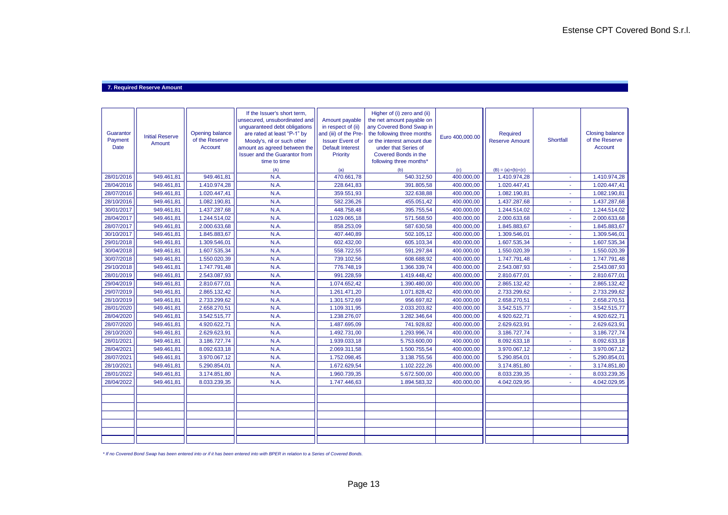### **7. Required Reserve Amount**

| Guarantor<br>Payment<br>Date | <b>Initial Reserve</b><br>Amount | Opening balance<br>of the Reserve<br>Account | If the Issuer's short term,<br>unsecured, unsubordinated and<br>unquaranteed debt obligations<br>are rated at least "P-1" by<br>Moody's, nil or such other<br>amount as agreed between the<br><b>Issuer and the Guarantor from</b><br>time to time<br>(A) | Amount payable<br>in respect of (ii)<br>and (iii) of the Pre-<br><b>Issuer Event of</b><br><b>Default Interest</b><br>Priority<br>(a) | Higher of (i) zero and (ii)<br>the net amount payable on<br>any Covered Bond Swap in<br>the following three months<br>or the interest amount due<br>under that Series of<br>Covered Bonds in the<br>following three months*<br>(b) | Euro 400,000.00<br>(c) | <b>Required</b><br><b>Reserve Amount</b><br>$(B) = (a)+(b)+(c)$ | Shortfall      | <b>Closing balance</b><br>of the Reserve<br>Account |
|------------------------------|----------------------------------|----------------------------------------------|-----------------------------------------------------------------------------------------------------------------------------------------------------------------------------------------------------------------------------------------------------------|---------------------------------------------------------------------------------------------------------------------------------------|------------------------------------------------------------------------------------------------------------------------------------------------------------------------------------------------------------------------------------|------------------------|-----------------------------------------------------------------|----------------|-----------------------------------------------------|
| 28/01/2016                   | 949.461,81                       | 949.461.81                                   | N.A                                                                                                                                                                                                                                                       | 470.661.78                                                                                                                            | 540.312,50                                                                                                                                                                                                                         | 400.000.00             | 1.410.974.28                                                    | $\omega$       | 1.410.974.28                                        |
| 28/04/2016                   | 949.461,81                       | 1.410.974,28                                 | N.A.                                                                                                                                                                                                                                                      | 228.641,83                                                                                                                            | 391.805,58                                                                                                                                                                                                                         | 400.000,00             | 1.020.447,41                                                    | $\sim$         | 1.020.447,41                                        |
| 28/07/2016                   | 949.461,81                       | 1.020.447,41                                 | N.A.                                                                                                                                                                                                                                                      | 359.551,93                                                                                                                            | 322.638,88                                                                                                                                                                                                                         | 400.000,00             | 1.082.190,81                                                    | $\sim$         | 1.082.190,81                                        |
| 28/10/2016                   | 949.461,81                       | 1.082.190,81                                 | N.A.                                                                                                                                                                                                                                                      | 582.236,26                                                                                                                            | 455.051,42                                                                                                                                                                                                                         | 400.000,00             | 1.437.287,68                                                    | ÷              | 1.437.287,68                                        |
| 30/01/2017                   | 949.461,81                       | 1.437.287,68                                 | N.A.                                                                                                                                                                                                                                                      | 448.758,48                                                                                                                            | 395.755,54                                                                                                                                                                                                                         | 400.000,00             | 1.244.514,02                                                    | ÷              | 1.244.514,02                                        |
| 28/04/2017                   | 949.461,81                       | 1.244.514,02                                 | N.A.                                                                                                                                                                                                                                                      | 1.029.065,18                                                                                                                          | 571.568,50                                                                                                                                                                                                                         | 400.000,00             | 2.000.633,68                                                    | $\sim$         | 2.000.633,68                                        |
| 28/07/2017                   | 949.461,81                       | 2.000.633,68                                 | N.A                                                                                                                                                                                                                                                       | 858.253.09                                                                                                                            | 587.630.58                                                                                                                                                                                                                         | 400.000,00             | 1.845.883.67                                                    | $\omega$       | 1.845.883,67                                        |
| 30/10/2017                   | 949.461,81                       | 1.845.883,67                                 | N.A.                                                                                                                                                                                                                                                      | 407.440,89                                                                                                                            | 502.105,12                                                                                                                                                                                                                         | 400.000,00             | 1.309.546,01                                                    | $\blacksquare$ | 1.309.546,01                                        |
| 29/01/2018                   | 949.461,81                       | 1.309.546,01                                 | N.A.                                                                                                                                                                                                                                                      | 602.432,00                                                                                                                            | 605.103,34                                                                                                                                                                                                                         | 400.000,00             | 1.607.535,34                                                    | $\sim$         | 1.607.535,34                                        |
| 30/04/2018                   | 949.461,81                       | 1.607.535,34                                 | N.A.                                                                                                                                                                                                                                                      | 558.722,55                                                                                                                            | 591.297,84                                                                                                                                                                                                                         | 400.000,00             | 1.550.020,39                                                    | $\sim$         | 1.550.020,39                                        |
| 30/07/2018                   | 949.461,81                       | 1.550.020,39                                 | N.A.                                                                                                                                                                                                                                                      | 739.102,56                                                                                                                            | 608.688,92                                                                                                                                                                                                                         | 400.000,00             | 1.747.791,48                                                    | ÷              | 1.747.791,48                                        |
| 29/10/2018                   | 949.461,81                       | 1.747.791,48                                 | N.A.                                                                                                                                                                                                                                                      | 776.748,19                                                                                                                            | 1.366.339,74                                                                                                                                                                                                                       | 400.000,00             | 2.543.087.93                                                    | $\sim$         | 2.543.087,93                                        |
| 28/01/2019                   | 949.461,81                       | 2.543.087,93                                 | N.A.                                                                                                                                                                                                                                                      | 991.228,59                                                                                                                            | 1.419.448,42                                                                                                                                                                                                                       | 400.000,00             | 2.810.677,01                                                    | $\sim$         | 2.810.677,01                                        |
| 29/04/2019                   | 949.461,81                       | 2.810.677,01                                 | N.A.                                                                                                                                                                                                                                                      | 1.074.652,42                                                                                                                          | 1.390.480,00                                                                                                                                                                                                                       | 400.000,00             | 2.865.132,42                                                    | $\sim$         | 2.865.132,42                                        |
| 29/07/2019                   | 949.461,81                       | 2.865.132,42                                 | N.A.                                                                                                                                                                                                                                                      | 1.261.471,20                                                                                                                          | 1.071.828,42                                                                                                                                                                                                                       | 400.000,00             | 2.733.299,62                                                    | $\sim$         | 2.733.299,62                                        |
| 28/10/2019                   | 949.461,81                       | 2.733.299,62                                 | N.A.                                                                                                                                                                                                                                                      | 1.301.572,69                                                                                                                          | 956.697,82                                                                                                                                                                                                                         | 400.000,00             | 2.658.270,51                                                    | $\sim$         | 2.658.270,51                                        |
| 28/01/2020                   | 949.461,81                       | 2.658.270,51                                 | N.A                                                                                                                                                                                                                                                       | 1.109.311,95                                                                                                                          | 2.033.203,82                                                                                                                                                                                                                       | 400.000,00             | 3.542.515,77                                                    | ×.             | 3.542.515,77                                        |
| 28/04/2020                   | 949.461,81                       | 3.542.515,77                                 | N.A                                                                                                                                                                                                                                                       | 1.238.276.07                                                                                                                          | 3.282.346,64                                                                                                                                                                                                                       | 400.000,00             | 4.920.622,71                                                    | $\sim$         | 4.920.622,71                                        |
| 28/07/2020                   | 949.461,81                       | 4.920.622,71                                 | N.A.                                                                                                                                                                                                                                                      | 1.487.695,09                                                                                                                          | 741.928,82                                                                                                                                                                                                                         | 400.000,00             | 2.629.623,91                                                    | $\blacksquare$ | 2.629.623,91                                        |
| 28/10/2020                   | 949.461,81                       | 2.629.623,91                                 | N.A.                                                                                                                                                                                                                                                      | 1.492.731,00                                                                                                                          | 1.293.996,74                                                                                                                                                                                                                       | 400.000,00             | 3.186.727,74                                                    | $\sim$         | 3.186.727,74                                        |
| 28/01/2021                   | 949.461,81                       | 3.186.727,74                                 | N.A.                                                                                                                                                                                                                                                      | 1.939.033,18                                                                                                                          | 5.753.600,00                                                                                                                                                                                                                       | 400.000,00             | 8.092.633,18                                                    |                | 8.092.633,18                                        |
| 28/04/2021                   | 949.461,81                       | 8.092.633,18                                 | N.A.                                                                                                                                                                                                                                                      | 2.069.311,58                                                                                                                          | 1.500.755,54                                                                                                                                                                                                                       | 400.000,00             | 3.970.067,12                                                    |                | 3.970.067,12                                        |
| 28/07/2021                   | 949.461,81                       | 3.970.067,12                                 | N.A                                                                                                                                                                                                                                                       | 1.752.098,45                                                                                                                          | 3.138.755,56                                                                                                                                                                                                                       | 400.000,00             | 5.290.854,01                                                    | $\sim$         | 5.290.854,01                                        |
| 28/10/2021                   | 949.461,81                       | 5.290.854,01                                 | N.A.                                                                                                                                                                                                                                                      | 1.672.629,54                                                                                                                          | 1.102.222,26                                                                                                                                                                                                                       | 400.000,00             | 3.174.851,80                                                    | $\sim$         | 3.174.851,80                                        |
| 28/01/2022                   | 949.461,81                       | 3.174.851,80                                 | N.A.                                                                                                                                                                                                                                                      | 1.960.739,35                                                                                                                          | 5.672.500,00                                                                                                                                                                                                                       | 400.000,00             | 8.033.239,35                                                    | $\sim$         | 8.033.239,35                                        |
| 28/04/2022                   | 949.461,81                       | 8.033.239,35                                 | N.A.                                                                                                                                                                                                                                                      | 1.747.446,63                                                                                                                          | 1.894.583,32                                                                                                                                                                                                                       | 400.000,00             | 4.042.029,95                                                    | $\sim$         | 4.042.029,95                                        |
|                              |                                  |                                              |                                                                                                                                                                                                                                                           |                                                                                                                                       |                                                                                                                                                                                                                                    |                        |                                                                 |                |                                                     |
|                              |                                  |                                              |                                                                                                                                                                                                                                                           |                                                                                                                                       |                                                                                                                                                                                                                                    |                        |                                                                 |                |                                                     |
|                              |                                  |                                              |                                                                                                                                                                                                                                                           |                                                                                                                                       |                                                                                                                                                                                                                                    |                        |                                                                 |                |                                                     |
|                              |                                  |                                              |                                                                                                                                                                                                                                                           |                                                                                                                                       |                                                                                                                                                                                                                                    |                        |                                                                 |                |                                                     |
|                              |                                  |                                              |                                                                                                                                                                                                                                                           |                                                                                                                                       |                                                                                                                                                                                                                                    |                        |                                                                 |                |                                                     |
|                              |                                  |                                              |                                                                                                                                                                                                                                                           |                                                                                                                                       |                                                                                                                                                                                                                                    |                        |                                                                 |                |                                                     |
|                              |                                  |                                              |                                                                                                                                                                                                                                                           |                                                                                                                                       |                                                                                                                                                                                                                                    |                        |                                                                 |                |                                                     |

*\* If no Covered Bond Swap has been entered into or if it has been entered into with BPER in relation to a Series of Covered Bonds.*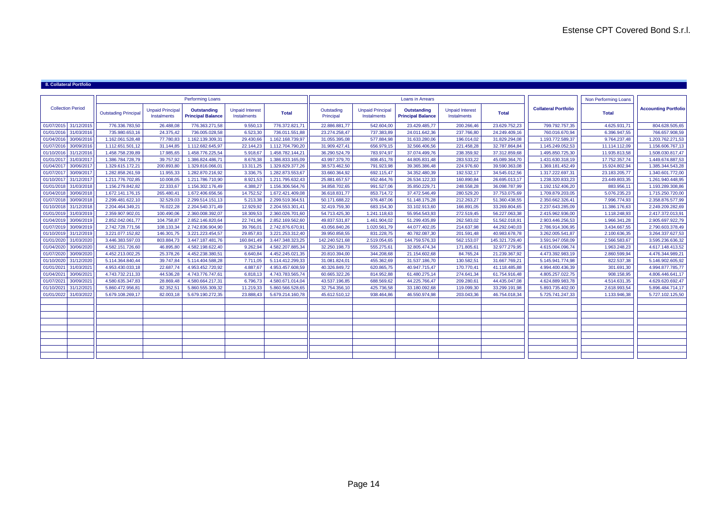|                       |                          |                             |                                        | <b>Performing Loans</b>                        |                                       |                  |                         |                                        | <b>Loans in Arrears</b>                        |                                       |                |                             | Non Performing Loans |                             |
|-----------------------|--------------------------|-----------------------------|----------------------------------------|------------------------------------------------|---------------------------------------|------------------|-------------------------|----------------------------------------|------------------------------------------------|---------------------------------------|----------------|-----------------------------|----------------------|-----------------------------|
|                       | <b>Collection Period</b> | <b>Outstading Principal</b> | <b>Unpaid Principal</b><br>Instalments | <b>Outstanding</b><br><b>Principal Balance</b> | <b>Unpaid Interest</b><br>Instalments | <b>Total</b>     | Outstading<br>Principal | <b>Unpaid Principal</b><br>Instalments | <b>Outstanding</b><br><b>Principal Balance</b> | <b>Unpaid Interest</b><br>Instalments | <b>Total</b>   | <b>Collateral Portfolio</b> | <b>Total</b>         | <b>Accounting Portfolio</b> |
| 01/07/2015 31/12/2015 |                          | 776.336.783,50              | 26.488,08                              | 776.363.271,58                                 | 9.550,13                              | 776.372.821.71   | 22.886.881,77           | 542,604.00                             | 23.429.485,77                                  | 200.266,46                            | 23.629.752,23  | 799.792.757,35              | 4.625.931.71         | 804.628.505,65              |
| 01/01/2016 31/03/2016 |                          | 735.980.653,16              | 24.375,42                              | 736.005.028,58                                 | 6.523,30                              | 736.011.551,88   | 23.274.258,47           | 737.383,89                             | 24.011.642,36                                  | 237.766.80                            | 24.249.409,16  | 760.016.670,94              | 6.396.947.55         | 766.657.908,59              |
| 01/04/2016            | 30/06/2010               | 1.162.061.528.48            | 77.780.83                              | 1.162.139.309.31                               | 29.430,66                             | 1.162.168.739,97 | 31.055.395.08           | 577.884.98                             | 31.633.280.06                                  | 196.014.02                            | 31.829.294.08  | 1.193.772.589,37            | 9.764.237,48         | 1.203.762.271,53            |
| 01/07/2016            | 30/09/201                | 1.112.651.501.12            | 31.144,85                              | 1.112.682.645.97                               | 22.144.23                             | 1.112.704.790,20 | 31.909.427,41           | 656.979.15                             | 32.566.406.56                                  | 221.458.28                            | 32.787.864,84  | 1.145.249.052.53            | 11.114.112,09        | 1.156.606.767,13            |
| 01/10/2016            | 31/12/2010               | 1.458.758.239.89            | 17,985.65                              | 1.458.776.225.54                               | 5.918.67                              | 1.458.782.144.21 | 36.290.524.79           | 783.974.97                             | 37.074.499.76                                  | 238.359.92                            | 37.312.859.68  | 1.495.850.725.30            | 11.935.813.58        | 1.508.030.817.47            |
| 01/01/2017            | 31/03/201                | 1.386.784.728,79            | 39.757.92                              | 1.386.824.486,71                               | 8.678.38                              | 1.386.833.165.09 | 43.997.379,70           | 808.451.78                             | 44.805.831,48                                  | 283.533.22                            | 45.089.364.70  | 1.431.630.318.19            | 17.752.357.74        | 1.449.674.887,53            |
| 01/04/2017            | 30/06/201                | 1.329.615.172.21            | 200.893.80                             | 1.329.816.066.01                               | 13.311,25                             | 1.329.829.377,26 | 38.573.462.50           | 791.923.98                             | 39.365.386.48                                  | 224.976.60                            | 39.590.363,08  | 1.369.181.452.49            | 15.924.802.94        | 1.385.344.543,28            |
| 01/07/2017            | 30/09/201                | 1.282.858.261,59            | 11.955.33                              | 1.282.870.216,92                               | 3.336,75                              | 1.282.873.553,67 | 33.660.364,92           | 692.115.47                             | 34.352.480,39                                  | 192.532.17                            | 34.545.012,56  | 1.317.222.697,31            | 23.183.205,77        | 1.340.601.772,00            |
| 01/10/2017            | 31/12/201                | 1.211.776.702,85            | 10.008,05                              | 1.211.786.710,90                               | 8.921,53                              | 1.211.795.632,43 | 25.881.657,57           | 652.464.76                             | 26.534.122,33                                  | 160.890,84                            | 26.695.013,17  | 1.238.320.833,23            | 23.449.803,35        | 1.261.940.448,95            |
| 01/01/2018            | 31/03/201                | 1.156.279.842,82            | 22.333,67                              | 1.156.302.176,49                               | 4.388.27                              | 1.156.306.564,76 | 34.858.702,65           | 991.527,06                             | 35.850.229,71                                  | 248.558,28                            | 36.098.787,99  | 1.192.152.406,20            | 883.956.11           | 1.193.289.308,86            |
| 01/04/2018            | 30/06/201                | 1.672.141.176,15            | 265.480.4                              | 1.672.406.656,56                               | 14.752,52                             | 1.672.421.409,08 | 36.618.831,77           | 853.714.72                             | 37.472.546,49                                  | 280.529.20                            | 37.753.075,69  | 1.709.879.203,05            | 5.076.235,23         | 1.715.250.720,00            |
| 01/07/2018            | 30/09/201                | 2.299.481.622,10            | 32.529,03                              | 2.299.514.151,13                               | 5.213,38                              | 2.299.519.364,51 | 50.171.688,22           | 976.487,06                             | 51.148.175,28                                  | 212.263,27                            | 51.360.438,55  | 2.350.662.326,41            | 7.996.774,93         | 2.358.876.577,99            |
| 01/10/2018            | 31/12/201                | 2.204.464.349.21            | 76.022.28                              | 2.204.540.371.49                               | 12.929,92                             | 2.204.553.301,41 | 32.419.759,30           | 683.154.30                             | 33.102.913.60                                  | 166,891.05                            | 33.269.804,65  | 2.237.643.285,09            | 11.386.176.63        | 2.249.209.282,69            |
| 01/01/2019 31/03/201  |                          | 2.359.907.902.01            | 100.490.06                             | 2.360.008.392.07                               | 18.309.53                             | 2.360.026.701.60 | 54.713.425.30           | 1.241.118.63                           | 55.954.543.93                                  | 272.519.45                            | 56.227.063.38  | 2.415.962.936.00            | 1.118.248.93         | 2.417.372.013.91            |
| 01/04/2019            | 30/06/201                | 2.852.042.061,77            | 104.758.87                             | 2.852.146.820,64                               | 22.741,96                             | 2.852.169.562,60 | 49.837.531,87           | 1.461.904,02                           | 51.299.435,89                                  | 262.583,02                            | 51.562.018,91  | 2.903.446.256,53            | 1.966.341,28         | 2.905.697.922,79            |
| 01/07/2019            | 30/09/201                | 2.742.728.771.56            | 108.133.34                             | 2.742.836.904.90                               | 39,766.0                              | 2.742.876.670,91 | 43.056.840,26           | 1.020.561.79                           | 44.077.402,05                                  | 214,637.98                            | 44.292.040.03  | 2.786.914.306,95            | 3.434.667.55         | 2.790.603.378,49            |
| 01/10/2019            | 31/12/201                | 3.221.077.152.82            | 146,301.75                             | 3.221.223.454.57                               | 29.857.83                             | 3.221.253.312,40 | 39.950.858.55           | 831.228.75                             | 40.782.087,30                                  | 201.591.48                            | 40.983.678.78  | 3.262.005.541.87            | 2.100.636.35         | 3.264.337.627,53            |
| 01/01/2020            | 31/03/2020               | 3.446.383.597.03            | 803.884.73                             | 3.447.187.481,76                               | 160.841.49                            | 3.447.348.323,25 | 142.240.521,68          | 2.519.054.65                           | 144.759.576,33                                 | 562.153.07                            | 145.321.729,40 | 3.591.947.058,09            | 2.566.583.67         | 3.595.236.636,32            |
| 01/04/2020            | 30/06/202                | 4.582.151.726,60            | 46.895,80                              | 4.582.198.622,40                               | 9.262,94                              | 4.582.207.885,34 | 32.250.198,73           | 555.275,61                             | 32.805.474,34                                  | 171.805,61                            | 32.977.279,95  | 4.615.004.096,74            | 1.963.248,23         | 4.617.148.413,52            |
| 01/07/2020            | 30/09/2020               | 4.452.213.002.25            | 25.378,26                              | 4.452.238.380,51                               | 6.640,84                              | 4.452.245.021,35 | 20.810.394,00           | 344.208.68                             | 21.154.602,68                                  | 84.765,24                             | 21.239.367,92  | 4.473.392.983,19            | 2.860.599,94         | 4.476.344.989,21            |
| 01/10/2020            | 31/12/2020               | 5.114.364.840,44            | 39.747.84                              | 5.114.404.588,28                               | 7.711.05                              | 5.114.412.299,33 | 31.081.824,01           | 455.362.69                             | 31.537.186,70                                  | 130.582.51                            | 31.667.769,21  | 5.145.941.774,98            | 822.537.38           | 5.146.902.605,92            |
| 01/01/2021            | 31/03/202                | 4.953.430.033,18            | 22.687,74                              | 4.953.452.720,92                               | 4.887,67                              | 4.953.457.608,59 | 40.326.849,72           | 620.865,75                             | 40.947.715,47                                  | 170.770,41                            | 41.118.485,88  | 4.994.400.436,39            | 301.691,30           | 4.994.877.785,77            |
| 01/04/2021            | 30/06/202                | 4.743.732.211,33            | 44.536.28                              | 4.743.776.747,61                               | 6.818,13                              | 4.743.783.565,74 | 60.665.322,26           | 814.952.88                             | 61.480.275,14                                  | 274.641,34                            | 61.754.916,48  | 4.805.257.022,75            | 908.158,95           | 4.806.446.641,17            |
| 01/07/2021            | 30/09/202                | 4.580.635.347.83            | 28,869.48                              | 4.580.664.217.31                               | 6,796,73                              | 4.580.671.014.04 | 43.537.196.85           | 688,569.62                             | 44.225.766.47                                  | 209,280.61                            | 44.435.047.08  | 4.624.889.983.78            | 4.514.631.35         | 4.629.620.692.47            |
| 01/10/2021            | 31/12/2021               | 5.860.472.956.81            | 82.352.51                              | 5.860.555.309.32                               | 11.219.33                             | 5.860.566.528.65 | 32.754.356.10           | 425.736.58                             | 33.180.092.68                                  | 119.099.30                            | 33.299.191.98  | 5.893.735.402.00            | 2.618.993.54         | 5.896.484.714.17            |
| 01/01/2022            | 31/03/2022               | 5.679.108.269.17            | 82,003.18                              | 5.679.190.272.35                               | 23.888.43                             | 5.679.214.160.78 | 45.612.510.12           | 938.464.86                             | 46.550.974.98                                  | 203.043.36                            | 46.754.018.34  | 5.725.741.247.33            | 1.133.946.38         | 5.727.102.125.50            |
|                       |                          |                             |                                        |                                                |                                       |                  |                         |                                        |                                                |                                       |                |                             |                      |                             |
|                       |                          |                             |                                        |                                                |                                       |                  |                         |                                        |                                                |                                       |                |                             |                      |                             |
|                       |                          |                             |                                        |                                                |                                       |                  |                         |                                        |                                                |                                       |                |                             |                      |                             |
|                       |                          |                             |                                        |                                                |                                       |                  |                         |                                        |                                                |                                       |                |                             |                      |                             |
|                       |                          |                             |                                        |                                                |                                       |                  |                         |                                        |                                                |                                       |                |                             |                      |                             |
|                       |                          |                             |                                        |                                                |                                       |                  |                         |                                        |                                                |                                       |                |                             |                      |                             |
|                       |                          |                             |                                        |                                                |                                       |                  |                         |                                        |                                                |                                       |                |                             |                      |                             |
|                       |                          |                             |                                        |                                                |                                       |                  |                         |                                        |                                                |                                       |                |                             |                      |                             |
|                       |                          |                             |                                        |                                                |                                       |                  |                         |                                        |                                                |                                       |                |                             |                      |                             |

 **8. Collateral Portfolio**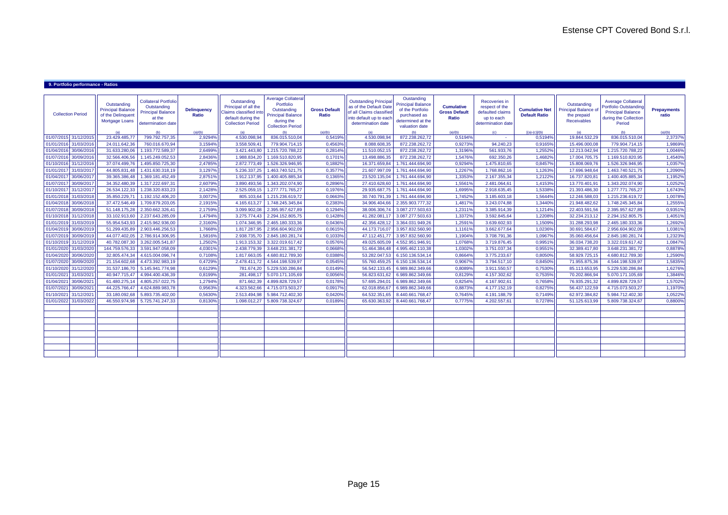#### **9. Portfolio performance - Ratios**

| <b>Collection Period</b>                        | Outstanding<br><b>Principal Balance</b><br>of the Delinguent<br>Mortgage Loans | <b>Collateral Portfolio</b><br>Outstanding<br><b>Principal Balance</b><br>at the<br>determination date | <b>Delinquency</b><br>Ratio | Outstanding<br>Principal of all the<br>Claims classified into<br>default during the<br><b>Collection Period</b> | <b>Average Collateral</b><br>Portfolio<br>Outstanding<br><b>Principal Balance</b><br>during the<br><b>Collection Period</b> | <b>Gross Default</b><br>Ratio | <b>Outstanding Principa</b><br>as of the Default Date<br>of all Claims classified<br>into default up to eacl<br>determination date | Oustanding<br>rincipal Balance<br>of the Portfolio<br>purchased as<br>determined at the<br>valuation date | <b>Cumulative</b><br><b>Gross Default</b><br>Ratio | Recoveries in<br>respect of the<br>defaulted claims<br>up to each<br>determination date | <b>Cumulative Net</b><br><b>Default Ratio</b> | Outstanding<br><b>Principal Balance of</b><br>the prepaid<br><b>Receivables</b> | <b>Average Collateral</b><br>Portfolio Outstanding<br><b>Principal Balance</b><br>during the Collection<br>Period | <b>Prepayments</b><br>ratio |
|-------------------------------------------------|--------------------------------------------------------------------------------|--------------------------------------------------------------------------------------------------------|-----------------------------|-----------------------------------------------------------------------------------------------------------------|-----------------------------------------------------------------------------------------------------------------------------|-------------------------------|------------------------------------------------------------------------------------------------------------------------------------|-----------------------------------------------------------------------------------------------------------|----------------------------------------------------|-----------------------------------------------------------------------------------------|-----------------------------------------------|---------------------------------------------------------------------------------|-------------------------------------------------------------------------------------------------------------------|-----------------------------|
|                                                 | (a)                                                                            | (b)                                                                                                    | (a)/b                       | (a)                                                                                                             | (h)                                                                                                                         | (a)/(b)                       | (a)                                                                                                                                | (h)                                                                                                       | (a)/(b)                                            | (c)                                                                                     | $[(a)-(c)]/(b)$                               | (a)                                                                             | (h)                                                                                                               | (a)/(b)                     |
| 01/07/2015 31/12/201                            | 23.429.485,77                                                                  | 799.792.757,35                                                                                         | 2.9294%                     | 4.530.098.94                                                                                                    | 836.015.510,04                                                                                                              | 0,5419%                       | 4.530.098.94                                                                                                                       | 872.238.262,72                                                                                            | 0,5194%                                            |                                                                                         | 0,5194%                                       | 19.844.532.29                                                                   | 836.015.510,04                                                                                                    | 2,37379                     |
| 01/01/2016 31/03/2016                           | 24.011.642.36                                                                  | 760.016.670.94                                                                                         | 3.15949                     | 3.558.509.4<br>3.421.443.80                                                                                     | 779.904.714.1                                                                                                               | 0.4563%<br>0.2814%            | 8.088.608.35                                                                                                                       | 872.238.262.72                                                                                            | 0.9273%                                            | 94.240.23                                                                               | 0.9165%<br>1.2552%                            | 15,496,000.08                                                                   | 779.904.714.15                                                                                                    | 1.9869%<br>1.0046%          |
| 01/04/2016 30/06/201                            | 31.633.280.06<br>32.566.406.56                                                 | 1.193.772.589.37<br>1.145.249.052.53                                                                   | 2.64999<br>2.84369          | 1.988.834.20                                                                                                    | 1.215.720.788.22                                                                                                            |                               | 11.510.052.15                                                                                                                      | 872.238.262.72                                                                                            | 1.3196%                                            | 561.933.76<br>692.350.26                                                                |                                               | 12.213.042.94<br>17.004.705.75                                                  | 1.215.720.788.22                                                                                                  | 1,4540%                     |
| 01/07/2016<br>30/09/201<br>01/10/2016           | 37.074.499.76                                                                  | 1.495.850.725,30                                                                                       |                             | 2.872.773.49                                                                                                    | 1.169.510.820.95<br>1.526.326.946.95                                                                                        | 0.17019                       | 13.498.886.35<br>16.371.659.8                                                                                                      | 872.238.262,72                                                                                            | 1.5476%<br>0,9294%                                 | 1.475.810,65                                                                            | 1,46829<br>0,84579                            | 15.808.069,76                                                                   | 1.169.510.820.95<br>1.526.326.946,95                                                                              | 1,03579                     |
| 31/12/201                                       |                                                                                |                                                                                                        | 2,47859                     |                                                                                                                 |                                                                                                                             | 0,18829                       |                                                                                                                                    | 1.761.444.694,90                                                                                          |                                                    |                                                                                         |                                               |                                                                                 |                                                                                                                   |                             |
| 31/03/2017<br>01/01/2017                        | 44.805.831.48                                                                  | 1.431.630.318.19                                                                                       | 3,1297%<br>2.87519          | 5.236.337.25<br>1.912.137.95                                                                                    | 1.463.740.521.75                                                                                                            | 0,35779<br>0.1365%            | 21.607.997.09                                                                                                                      | 1.761.444.694.90                                                                                          | 1,2267%<br>1.33539                                 | 1.768.862.16                                                                            | 1.1263%<br>1.2122%                            | 17.696.948.64                                                                   | 1.463.740.521,75                                                                                                  | 1,20909<br>1,19529          |
| 30/06/201<br>01/04/2017                         | 39.365.386.48                                                                  | 1.369.181.452.49                                                                                       |                             |                                                                                                                 | 1.400.405.885.34                                                                                                            |                               | 23.520.135.0                                                                                                                       | 1.761.444.694.90                                                                                          |                                                    | 2.167.355.34                                                                            |                                               | 16,737,820.81                                                                   | 1.400.405.885.34                                                                                                  | 1,02529                     |
| 30/09/201<br>01/07/2017<br>01/10/2017 31/12/201 | 34.352.480.39<br>26.534.122.33                                                 | 1.317.222.697.3<br>1.238.320.833.23                                                                    | 2.60799<br>2,14289          | 3.890.493.56<br>2.525.059,15                                                                                    | 1.343.202.074.90<br>1.277.771.765.27                                                                                        | 0.2896%<br>0,1976%            | 27.410.628.60<br>29.935.687.75                                                                                                     | 1.761.444.694.90<br>1.761.444.694.90                                                                      | 1.55619<br>1,6995%                                 | 2.481.064.61<br>2.918.635.45                                                            | 1.41539<br>1,53389                            | 13,770,401.91<br>21.393.486,30                                                  | 1.343.202.074.90<br>1.277.771.765,27                                                                              | 1,6743%                     |
| 01/01/2018 31/03/2018                           | 35.850.229.71                                                                  | 1.192.152.406,20                                                                                       | 3,0072%                     | 805.103.64                                                                                                      | 1.215.236.619,72                                                                                                            | 0,06639                       | 30.740.791.39                                                                                                                      | 1.761.444.694.90                                                                                          | 1,7452%                                            | 3.185.603,18                                                                            | 1,5644%                                       | 12.246.588.03                                                                   | 1.215.236.619,72                                                                                                  | 1,0078%                     |
| 01/04/2018<br>30/06/201                         | 37.472.546.49                                                                  | 1.709.879.203.05                                                                                       | 2,19159                     | 4.165.613.27                                                                                                    | 1.748.245.345,84                                                                                                            | 0.23839                       | 34.906.404.66                                                                                                                      | 2.355.903.777.32                                                                                          | 1.48179                                            | 3.243.074.88                                                                            | 1.3440%                                       | 21.948.482.62                                                                   | 1.748.245.345.84                                                                                                  | 1,2555%                     |
| 01/07/2018<br>30/09/201                         | 51.148.175.28                                                                  | 2.350.662.326.4                                                                                        | 2.17599                     | 3.099.902.08                                                                                                    | 2.395.957.627.89                                                                                                            | 0.1294%                       | 38,006,306.7                                                                                                                       | 3.087.277.503.63                                                                                          | 1.2311%                                            | 3.385.914.39                                                                            | 1.1214%                                       | 22.403.591,56                                                                   | 2.395.957.627,89                                                                                                  | 0.93519                     |
| 01/10/2018 31/12/201                            | 33.102.913.60                                                                  | 2.237.643.285.09                                                                                       | 1.4794%                     | 3.275.774.43                                                                                                    | 2.294.152.805.75                                                                                                            | 0.1428%                       | 41.282.081                                                                                                                         | 3.087.277.503.63                                                                                          | 1.3372%                                            | 3.592.845.64                                                                            | 1.2208%                                       | 32.234.213.12                                                                   | 2.294.152.805.75                                                                                                  | 1.40519                     |
| 01/01/2019 31/03/2019                           | 55.954.543.93                                                                  | 2.415.962.936.00                                                                                       | 2,31609                     | 1.074.346.95                                                                                                    | 2.465.180.333.36                                                                                                            | 0.0436%                       | 42.356.428.12                                                                                                                      | 3.364.031.949,26                                                                                          | 1,25919                                            | 3.639.602.93                                                                            | 1,1509%                                       | 31.288.293.98                                                                   | 2.465.180.333,36                                                                                                  | 1,26929                     |
| 01/04/2019 30/06/201                            | 51.299.435,89                                                                  | 2.903.446.256,53                                                                                       | 1,76689                     | 1.817.287,95                                                                                                    | 2.956.604.902,09                                                                                                            | 0,0615%                       | 44.173.716,0                                                                                                                       | 3.957.832.560,90                                                                                          | 1,11619                                            | 3.662.677,64                                                                            | 1,02369                                       | 30.691.584,67                                                                   | 2.956.604.902,09                                                                                                  | 1,03819                     |
| 30/09/201<br>01/07/2019                         | 44.077.402.05                                                                  | 2.786.914.306.95                                                                                       | 1.5816%                     | 2.938.735.70                                                                                                    | 2.845.180.281.74                                                                                                            | 0.10339                       | 47.112.451.7                                                                                                                       | 3.957.832.560.90                                                                                          | 1.1904%                                            | 3.708.791.36                                                                            | 1.0967%                                       | 35.060.456.64                                                                   | 2.845.180.281.74                                                                                                  | 1.2323%                     |
| 01/10/2019<br>31/12/201                         | 40.782.087.30                                                                  | 3.262.005.541.87                                                                                       | 1.2502%                     | 1.913.153.32                                                                                                    | 3.322.019.617.42                                                                                                            | 0.0576%                       | 49.025.605.09                                                                                                                      | 4.552.951.946.91                                                                                          | 1.07689                                            | 3.719.876.45                                                                            | 0.99519                                       | 36.034.738.20                                                                   | 3.322.019.617.42                                                                                                  | 1,0847%                     |
| 31/03/202<br>01/01/2020                         | 144.759.576.33                                                                 | 3.591.947.058.09                                                                                       | 4.0301                      | 2.438.779.39                                                                                                    | 3.648.231.381.72                                                                                                            | 0.06689                       | 51.464.384.48                                                                                                                      | 4.995.462.110.38                                                                                          | 1.0302%                                            | 3.751.037.34                                                                            | 0.95519                                       | 32.389.417.80                                                                   | 3.648.231.381.72                                                                                                  | 0,88789                     |
| 30/06/2020<br>01/04/2020                        | 32.805.474.34                                                                  | 4.615.004.096.74                                                                                       | 0,71089                     | 1.817.663.05                                                                                                    | 4.680.812.789.30                                                                                                            | 0,03889                       | 53.282.047.53                                                                                                                      | 6.150.136.534.14                                                                                          | 0,8664%                                            | 3.775.233.67                                                                            | 0.8050%                                       | 58.929.725.15                                                                   | 4.680.812.789.30                                                                                                  | 1,2590%                     |
| 30/09/2020<br>01/07/2020                        | 21.154.602,68                                                                  | 4.473.392.983.19                                                                                       | 0.4729%                     | 2.478.411,72                                                                                                    | 4.544.198.539.97                                                                                                            | 0,0545%                       | 55.760.459.25                                                                                                                      | 6.150.136.534,14                                                                                          | 0,90679                                            | 3.794.517,10                                                                            | 0,8450%                                       | 71.955.875,36                                                                   | 4.544.198.539,97                                                                                                  | 1,5835%                     |
| 31/12/2020<br>01/10/2020                        | 31.537.186.70                                                                  | 5.145.941.774.98                                                                                       | 0.61299                     | 781.674.20                                                                                                      | 5.229.530.286,84                                                                                                            | 0.0149%                       | 56.542.133.45                                                                                                                      | 6.989.862.349.66                                                                                          | 0.8089%                                            | 3.911.550.57                                                                            | 0.7530%                                       | 85.113.653.95                                                                   | 5.229.530.286.84                                                                                                  | 1.6276%                     |
| 31/03/202<br>01/01/2021                         | 40.947.715.47                                                                  | 4.994.400.436.39                                                                                       | 0.81999                     | 281.498.1                                                                                                       | 5.070.171.105.69                                                                                                            | 0,0056%                       | 56.823.631.62                                                                                                                      | 6.989.862.349.66                                                                                          | 0.8129%                                            | 4.157.302.62                                                                            | 0.7535%                                       | 70.202.866.94                                                                   | 5.070.171.105,69                                                                                                  | 1,3846%                     |
| 01/04/2021<br>30/06/202                         | 61.480.275.14                                                                  | 4.805.257.022,75                                                                                       | 1.27949                     | 871.662.39                                                                                                      | 4.899.828.729.57                                                                                                            | 0,0178%                       | 57.695.294.0                                                                                                                       | 6.989.862.349.66                                                                                          | 0.8254%                                            | 4.167.902,61                                                                            | 0,7658%                                       | 76.935.291.32                                                                   | 4.899.828.729.57                                                                                                  | 1,5702%                     |
| 01/07/2021<br>30/09/202                         | 44.225.766,47                                                                  | 4.624.889.983.78                                                                                       | 0,95639                     | 4.323.562.66                                                                                                    | 4.715.073.503.27                                                                                                            | 0,09179                       | 62.018.856.6                                                                                                                       | 6.989.862.349.66                                                                                          | 0,88739                                            | 4.177.152,19                                                                            | 0.8275%                                       | 56.437.122.59                                                                   | 4.715.073.503.27                                                                                                  | 1,19709                     |
| 01/10/2021<br>31/12/202                         | 33.180.092.68                                                                  | 5.893.735.402,00                                                                                       | 0,56309                     | 2.513.494.98                                                                                                    | 5.984.712.402.30                                                                                                            | 0,0420%                       | 64.532.351.65                                                                                                                      | 8.440.661.768.47                                                                                          | 0,7645%                                            | 4.191.188,79                                                                            | 0.7149%                                       | 62.972.384.82                                                                   | 5.984.712.402,30                                                                                                  | 1,05229                     |
| 01/01/2022<br>31/03/2022                        | 46.550.974.98                                                                  | 5.725.741.247.33                                                                                       | 0.8130%                     | 1.098.012.27                                                                                                    | 5.809.738.324.67                                                                                                            | 0.0189%                       | 65.630.363.92                                                                                                                      | 8.440.661.768.47                                                                                          | 0.7775%                                            | 4.202.557.61                                                                            | 0.7278%                                       | 51.125.613.99                                                                   | 5.809.738.324.67                                                                                                  | 0.8800%                     |
|                                                 |                                                                                |                                                                                                        |                             |                                                                                                                 |                                                                                                                             |                               |                                                                                                                                    |                                                                                                           |                                                    |                                                                                         |                                               |                                                                                 |                                                                                                                   |                             |
|                                                 |                                                                                |                                                                                                        |                             |                                                                                                                 |                                                                                                                             |                               |                                                                                                                                    |                                                                                                           |                                                    |                                                                                         |                                               |                                                                                 |                                                                                                                   |                             |
|                                                 |                                                                                |                                                                                                        |                             |                                                                                                                 |                                                                                                                             |                               |                                                                                                                                    |                                                                                                           |                                                    |                                                                                         |                                               |                                                                                 |                                                                                                                   |                             |
|                                                 |                                                                                |                                                                                                        |                             |                                                                                                                 |                                                                                                                             |                               |                                                                                                                                    |                                                                                                           |                                                    |                                                                                         |                                               |                                                                                 |                                                                                                                   |                             |
|                                                 |                                                                                |                                                                                                        |                             |                                                                                                                 |                                                                                                                             |                               |                                                                                                                                    |                                                                                                           |                                                    |                                                                                         |                                               |                                                                                 |                                                                                                                   |                             |
|                                                 |                                                                                |                                                                                                        |                             |                                                                                                                 |                                                                                                                             |                               |                                                                                                                                    |                                                                                                           |                                                    |                                                                                         |                                               |                                                                                 |                                                                                                                   |                             |
|                                                 |                                                                                |                                                                                                        |                             |                                                                                                                 |                                                                                                                             |                               |                                                                                                                                    |                                                                                                           |                                                    |                                                                                         |                                               |                                                                                 |                                                                                                                   |                             |
|                                                 |                                                                                |                                                                                                        |                             |                                                                                                                 |                                                                                                                             |                               |                                                                                                                                    |                                                                                                           |                                                    |                                                                                         |                                               |                                                                                 |                                                                                                                   |                             |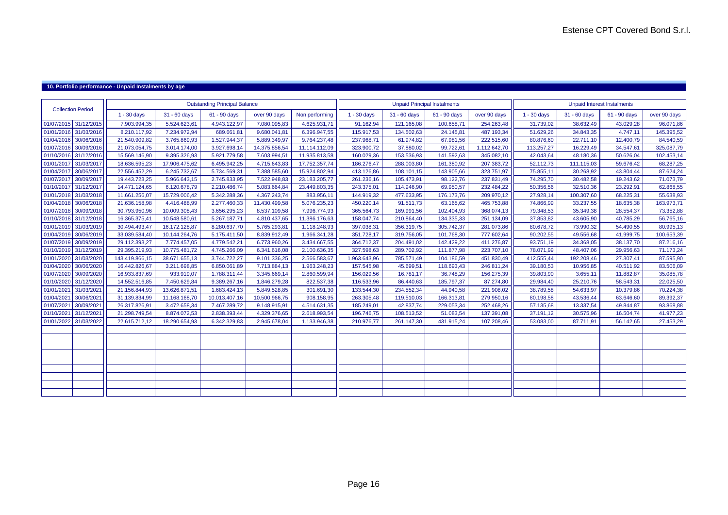#### **10. Portfolio performance - Unpaid Instalments by age**

| <b>Collection Period</b> |                |               | <b>Outstanding Principal Balance</b> |               |                |               | <b>Unpaid Principal Instalments</b> |              |              |               |              | <b>Unpaid Interest Instalments</b> |              |
|--------------------------|----------------|---------------|--------------------------------------|---------------|----------------|---------------|-------------------------------------|--------------|--------------|---------------|--------------|------------------------------------|--------------|
|                          | $1 - 30$ days  | 31 - 60 days  | 61 - 90 days                         | over 90 days  | Non performing | $1 - 30$ days | 31 - 60 days                        | 61 - 90 days | over 90 days | $1 - 30$ days | 31 - 60 days | 61 - 90 days                       | over 90 days |
| 01/07/2015<br>31/12/2015 | 7.903.994,35   | 5.524.623,61  | 4.943.122.97                         | 7.080.095.83  | 4.625.931,71   | 91.162,94     | 121.165,08                          | 100.658.71   | 254.263,48   | 31.739,02     | 38.632,49    | 43.029,28                          | 96.071,86    |
| 01/01/2016<br>31/03/2016 | 8.210.117,92   | 7.234.972,94  | 689.661,81                           | 9.680.041,81  | 6.396.947,55   | 115.917,53    | 134.502,63                          | 24.145,81    | 487.193,34   | 51.629,26     | 34.843,35    | 4.747.11                           | 145.395,52   |
| 01/04/2016<br>30/06/2016 | 21.540.909,82  | 3.765.869,93  | 1.527.944,37                         | 5.889.349,97  | 9.764.237,48   | 237.968,71    | 61.974,82                           | 67.981,56    | 222.515,60   | 80.876,60     | 22.711,10    | 12.400,79                          | 84.540,59    |
| 30/09/2016<br>01/07/2016 | 21.073.054,75  | 3.014.174,00  | 3.927.698,14                         | 14.375.856,54 | 11.114.112,09  | 323.900,72    | 37.880,02                           | 99.722,61    | 1.112.642,70 | 113.257,27    | 16.229,49    | 34.547,61                          | 325.087,79   |
| 31/12/2016<br>01/10/2016 | 15.569.146,90  | 9.395.326,93  | 5.921.779,58                         | 7.603.994,51  | 11.935.813,58  | 160.029,36    | 153.536,93                          | 141.592,63   | 345.082,10   | 42.043.64     | 48.180,36    | 50.626,04                          | 102.453,14   |
| 01/01/2011<br>31/03/2017 | 18.636.595,23  | 17.906.475,62 | 6.495.942,25                         | 4.715.643,83  | 17.752.357,74  | 186.276,47    | 288.003,80                          | 161.380,92   | 207.383,72   | 52.112,73     | 111.115,03   | 59.676,42                          | 68.287,25    |
| 30/06/2017<br>01/04/2011 | 22.556.452,29  | 6.245.732,67  | 5.734.569,31                         | 7.388.585,60  | 15.924.802,94  | 413.126,86    | 108.101,15                          | 143.905,66   | 323.751,97   | 75.855,11     | 30.268,92    | 43.804,44                          | 87.624,24    |
| 30/09/2017<br>01/07/201  | 19.443.723,25  | 5.966.643,15  | 2.745.833,95                         | 7.522.948.83  | 23.183.205,77  | 261.236,16    | 105.473,91                          | 98.122,76    | 237.831,49   | 74.295,70     | 30.482,58    | 19.243.62                          | 71.073,79    |
| 01/10/201<br>31/12/2017  | 14.471.124,65  | 6.120.678,79  | 2.210.486,74                         | 5.083.664,84  | 23.449.803,35  | 243.375,01    | 114.946,90                          | 69.950,57    | 232.484,22   | 50.356,56     | 32.510,36    | 23.292,91                          | 62.868,55    |
| 01/01/2018<br>31/03/2018 | 11.661.256,07  | 15.729.006,42 | 5.342.288,36                         | 4.367.243,74  | 883.956,11     | 144.919,32    | 477.633,95                          | 176.173,76   | 209.970,12   | 27.928,14     | 100.307,60   | 68.225,31                          | 55.638,93    |
| 01/04/2018<br>30/06/2018 | 21.636.158,98  | 4.416.488,99  | 2.277.460,33                         | 11.430.499,58 | 5.076.235,23   | 450.220,14    | 91.511,73                           | 63.165,62    | 465.753,88   | 74.866,99     | 33.237,55    | 18.635,38                          | 163.973,71   |
| 30/09/2018<br>01/07/2018 | 30.793.950,96  | 10.009.308,43 | 3.656.295,23                         | 8.537.109,58  | 7.996.774,93   | 365.564,73    | 169.991,56                          | 102.404,93   | 368.074,13   | 79.348,53     | 35.349,38    | 28.554,37                          | 73.352,88    |
| 01/10/2018<br>31/12/2018 | 16.365.375,41  | 10.548.580,61 | 5.267.187,71                         | 4.810.437,65  | 11.386.176,63  | 158.047,74    | 210.864,40                          | 134.335,33   | 251.134,09   | 37.853,82     | 43.605,90    | 40.785,29                          | 56.765,16    |
| 01/01/2019<br>31/03/2019 | 30.494.493,47  | 16.172.128,87 | 8.280.637,70                         | 5.765.293,81  | 1.118.248,93   | 397.038,31    | 356.319,75                          | 305.742,37   | 281.073,86   | 80.678,72     | 73.990,32    | 54.490,55                          | 80.995,13    |
| 01/04/2019<br>30/06/2019 | 33.039.584,40  | 10.144.264,76 | 5.175.411,50                         | 8.839.912,49  | 1.966.341,28   | 351.728,17    | 319.756,05                          | 101.768,30   | 777.602,64   | 90.202,55     | 49.556,68    | 41.999,75                          | 100.653,39   |
| 30/09/2019<br>01/07/2019 | 29.112.393,27  | 7.774.457,05  | 4.779.542,21                         | 6.773.960,26  | 3.434.667,55   | 364.712,37    | 204.491,02                          | 142.429,22   | 411.276,87   | 93.751,19     | 34.368,05    | 38.137,70                          | 87.216,16    |
| 01/10/2019<br>31/12/2019 | 29.395.219,93  | 10.775.481,72 | 4.745.266,09                         | 6.341.616,08  | 2.100.636,35   | 327.598,63    | 289.702,92                          | 111.877,98   | 223.707,10   | 78.071,99     | 48.407,06    | 29.956,63                          | 71.173,24    |
| 01/01/2020<br>31/03/2020 | 143.419.866,15 | 38.671.655,13 | 3.744.722,27                         | 9.101.336,25  | 2.566.583,67   | .963.643,96   | 785.571,49                          | 104.186,59   | 451.830,49   | 412.555,44    | 192.208,46   | 27.307,41                          | 87.595,90    |
| 01/04/2020<br>30/06/2020 | 16.442.826,67  | 3.211.698,85  | 6.850.061,89                         | 7.713.884,13  | 1.963.248,23   | 157.545,98    | 45.699,51                           | 118.693,43   | 246.811,24   | 39.180,53     | 10.956,85    | 40.511,92                          | 83.506,09    |
| 01/07/2020<br>30/09/2020 | 16.933.837,69  | 933.919,07    | 1.788.311,44                         | 3.345.669,14  | 2.860.599,94   | 156.029,56    | 16.781,17                           | 36.748,29    | 156.275,39   | 39.803,90     | 3.655,11     | 11.882,87                          | 35.085,78    |
| 01/10/2020<br>31/12/2020 | 14.552.516,85  | 7.450.629,84  | 9.389.267,16                         | 1.846.279,28  | 822.537,38     | 116.533,96    | 86.440,63                           | 185.797,37   | 87.274,80    | 29.984,40     | 25.210,76    | 58.543,31                          | 22.025,50    |
| 01/01/2021<br>31/03/2021 | 21.156.844,93  | 13.626.871,51 | 1.683.424,13                         | 5.849.528,85  | 301.691,30     | 133.544,30    | 234.552,34                          | 44.940,58    | 221.908,02   | 38.789,58     | 54.633,97    | 10.379,86                          | 70.224,38    |
| 01/04/2021<br>30/06/2021 | 31.139.834,99  | 11.168.168,70 | 10.013.407,16                        | 10.500.966,75 | 908.158,95     | 263.305,48    | 119.510,03                          | 166.313,81   | 279.950,16   | 80.198,58     | 43.536,44    | 63.646,60                          | 89.392,37    |
| 30/09/2021<br>01/07/2021 | 26.317.826,91  | 3.472.658,34  | 7.467.289,72                         | 9.148.915,91  | 4.514.631,35   | 185.249,01    | 42.837,74                           | 229.053,34   | 252.468,26   | 57.135,68     | 13.337,54    | 49.844,87                          | 93.868,88    |
| 01/10/2021<br>31/12/2021 | 21.298.749,54  | 8.874.072,53  | 2.838.393,44                         | 4.329.376,65  | 2.618.993,54   | 196.746,75    | 108.513,52                          | 51.083,54    | 137.391,08   | 37.191,12     | 30.575,96    | 16.504,74                          | 41.977,23    |
| 01/01/2022<br>31/03/2022 | 22.615.712,12  | 18.290.654,93 | 6.342.329,83                         | 2.945.678,04  | 1.133.946,38   | 210.976,77    | 261.147,30                          | 431.915,24   | 107.208,46   | 53.083,00     | 87.711,91    | 56.142,65                          | 27.453,29    |
|                          |                |               |                                      |               |                |               |                                     |              |              |               |              |                                    |              |
|                          |                |               |                                      |               |                |               |                                     |              |              |               |              |                                    |              |
|                          |                |               |                                      |               |                |               |                                     |              |              |               |              |                                    |              |
|                          |                |               |                                      |               |                |               |                                     |              |              |               |              |                                    |              |
|                          |                |               |                                      |               |                |               |                                     |              |              |               |              |                                    |              |
|                          |                |               |                                      |               |                |               |                                     |              |              |               |              |                                    |              |
|                          |                |               |                                      |               |                |               |                                     |              |              |               |              |                                    |              |
|                          |                |               |                                      |               |                |               |                                     |              |              |               |              |                                    |              |
|                          |                |               |                                      |               |                |               |                                     |              |              |               |              |                                    |              |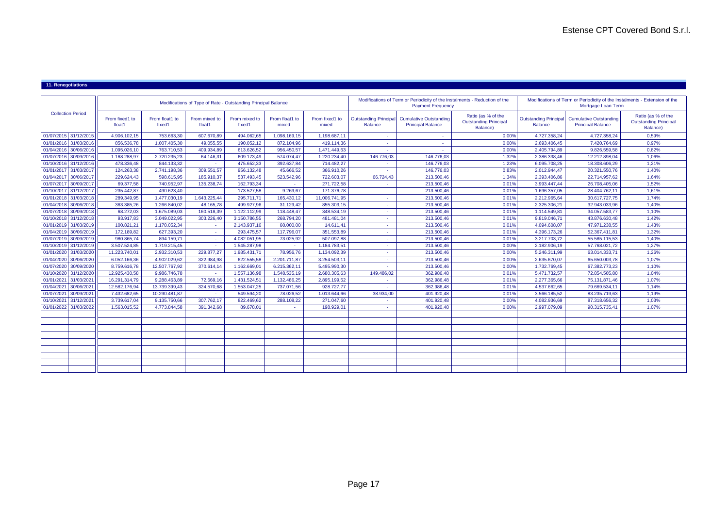#### **11. Renegotiations**

|                          |                          |                          |                                                                                                                                                            | Modifications of Type of Rate - Outstanding Principal Balance |                                                           |                                                                |                                                | <b>Payment Frequency</b>                                  | Modifications of Term or Periodicity of the Instalments - Reduction of the |              | Modifications of Term or Periodicity of the Instalments - Extension of the<br>Mortgage Loan Term |       |  |  |
|--------------------------|--------------------------|--------------------------|------------------------------------------------------------------------------------------------------------------------------------------------------------|---------------------------------------------------------------|-----------------------------------------------------------|----------------------------------------------------------------|------------------------------------------------|-----------------------------------------------------------|----------------------------------------------------------------------------|--------------|--------------------------------------------------------------------------------------------------|-------|--|--|
| <b>Collection Period</b> | From fixed1 to<br>float1 | From float1 to<br>fixed1 | From mixed to<br>From mixed to<br>From float1 to<br>From fixed1 to<br><b>Outstanding Principal</b><br>float1<br>fixed1<br>mixed<br><b>Balance</b><br>mixed |                                                               | <b>Cumulative Outstanding</b><br><b>Principal Balance</b> | Ratio (as % of the<br><b>Outstanding Principal</b><br>Balance) | <b>Outstanding Principal</b><br><b>Balance</b> | <b>Cumulative Outstanding</b><br><b>Principal Balance</b> | Ratio (as % of the<br><b>Outstanding Principal</b><br>Balance)             |              |                                                                                                  |       |  |  |
| 01/07/2015<br>31/12/2015 | 4.906.102.15             | 753.663.30               | 607.670.89                                                                                                                                                 | 494.062.65                                                    | 1.098.169.15                                              | 1.198.687.11                                                   | ×.                                             | ×.                                                        | 0.00%                                                                      | 4.727.358.24 | 4.727.358.24                                                                                     | 0,59% |  |  |
| 31/03/2016<br>01/01/2016 | 856.536,78               | 1.007.405,30             | 49.055,55                                                                                                                                                  | 190.052,12                                                    | 872.104,96                                                | 419.114,36                                                     | A.                                             | . .                                                       | 0,00%                                                                      | 2.693.406,45 | 7.420.764,69                                                                                     | 0,97% |  |  |
| 01/04/2016<br>30/06/2016 | 1.095.026.10             | 763.710.53               | 409.934.89                                                                                                                                                 | 613.626.52                                                    | 956.450.57                                                | 1.471.449.63                                                   |                                                | ٠.                                                        | 0.00%                                                                      | 2.405.794.89 | 9.826.559.58                                                                                     | 0.82% |  |  |
| 30/09/2016<br>01/07/2016 | 1.168.288,97             | 2.720.235,23             | 64.146,31                                                                                                                                                  | 609.173,49                                                    | 574.074,47                                                | 1.220.234,40                                                   | 146.776,03                                     | 146.776,03                                                | 1,32%                                                                      | 2.386.338,46 | 12.212.898,04                                                                                    | 1,06% |  |  |
| 31/12/2016<br>01/10/2016 | 478.336.48               | 844.133.32               | a.                                                                                                                                                         | 475.652.33                                                    | 392.637.84                                                | 714.482,27                                                     |                                                | 146.776,03                                                | 1.23%                                                                      | 6.095.708,25 | 18.308.606,29                                                                                    | 1,21% |  |  |
| 31/03/2011<br>01/01/2017 | 124.263.38               | 2.741.198,36             | 309.551.57                                                                                                                                                 | 956.132.48                                                    | 45.666.52                                                 | 366.910.26                                                     |                                                | 146,776.03                                                | 0.83%                                                                      | 2.012.944.47 | 20.321.550,76                                                                                    | 1,40% |  |  |
| 30/06/201<br>01/04/2017  | 229.624.43               | 598.615.95               | 185,910,37                                                                                                                                                 | 537.493.45                                                    | 523.542.96                                                | 722,603.07                                                     | 66.724.43                                      | 213,500.46                                                | 1.34%                                                                      | 2.393.406.86 | 22.714.957.62                                                                                    | 1.64% |  |  |
| 30/09/201<br>01/07/201   | 69.377.58                | 740.952.97               | 135.238.74                                                                                                                                                 | 162.793.34                                                    | $\sim$                                                    | 271.722.58                                                     | a.                                             | 213.500.46                                                | 0.01%                                                                      | 3.993.447.44 | 26.708.405,06                                                                                    | 1,52% |  |  |
| 01/10/2017<br>31/12/2011 | 235.442.87               | 490.623,40               |                                                                                                                                                            | 173.527,58                                                    | 9.269.67                                                  | 171.376,78                                                     | ÷.                                             | 213.500,46                                                | 0.01%                                                                      | 1.696.357,05 | 28.404.762,11                                                                                    | 1,61% |  |  |
| 31/03/2018<br>01/01/2018 | 289.349.95               | 1.477.030,19             | 1.643.225.44                                                                                                                                               | 295.711,71                                                    | 165.430.12                                                | 11.006.741,95                                                  |                                                | 213.500.46                                                | 0.01%                                                                      | 2.212.965,64 | 30.617.727,75                                                                                    | 1,74% |  |  |
| 30/06/2018<br>01/04/2018 | 363.385,26               | 1.266.840,02             | 48.165,78                                                                                                                                                  | 499.927,96                                                    | 31.129,42                                                 | 855.303,15                                                     | . .                                            | 213.500,46                                                | 0,01%                                                                      | 2.325.306,21 | 32.943.033,96                                                                                    | 1,40% |  |  |
| 30/09/2018<br>01/07/2018 | 68.272.03                | 1.675.089.03             | 160.518,39                                                                                                                                                 | 1.122.112.99                                                  | 118,448.47                                                | 348.534.19                                                     | ×.                                             | 213.500,46                                                | 0.01%                                                                      | 1.114.549.81 | 34.057.583,77                                                                                    | 1,10% |  |  |
| 01/10/2018<br>31/12/2018 | 93.917.83                | 3.049.022.95             | 303.226.40                                                                                                                                                 | 3.150.786.55                                                  | 268.794.20                                                | 481.481.04                                                     | ×.                                             | 213.500.46                                                | 0.01%                                                                      | 9.819.046.71 | 43.876.630.48                                                                                    | 1,42% |  |  |
| 01/01/2019<br>31/03/2019 | 100.821.21               | 1.178.052.34             | 14.1                                                                                                                                                       | 2.143.937.16                                                  | 60,000,00                                                 | 14.611.41                                                      | $\sim$                                         | 213.500.46                                                | 0.01%                                                                      | 4.094.608.07 | 47.971.238,55                                                                                    | 1,43% |  |  |
| 01/04/2019<br>30/06/2019 | 172.189,82               | 627.393,20               | $\sim$                                                                                                                                                     | 293.475,57                                                    | 117.796,07                                                | 351.553,89                                                     | . .                                            | 213.500,46                                                | 0,01%                                                                      | 4.396.173,26 | 52.367.411,81                                                                                    | 1,32% |  |  |
| 30/09/2019<br>01/07/2019 | 980.865.74               | 894.159.71               | A.                                                                                                                                                         | 4.082.051.95                                                  | 73.025.92                                                 | 507.097.88                                                     |                                                | 213,500.46                                                | 0.01%                                                                      | 3.217.703.72 | 55.585.115.53                                                                                    | 1.40% |  |  |
| 31/12/2019<br>01/10/2019 | 3.507.524.85             | 1.719.215.45             | $\sim$                                                                                                                                                     | 1.545.287.98                                                  | . н.                                                      | 1.184.783,51                                                   | a.                                             | 213.500.46                                                | 0.00%                                                                      | 2.182.906.19 | 57.768.021,72                                                                                    | 1,27% |  |  |
| 31/03/2020<br>01/01/2020 | 11.223.740.01            | 2.932.310.53             | 229,877,27                                                                                                                                                 | 1.985.431.71                                                  | 78.956.76                                                 | 1.134.092.39                                                   | ×.                                             | 213.500.46                                                | 0.00%                                                                      | 5.246.311.99 | 63.014.333,71                                                                                    | 1.26% |  |  |
| 30/06/2020<br>01/04/2020 | 6.052.166,36             | 4.902.029,62             | 322.984,98                                                                                                                                                 | 622.555,58                                                    | 2.201.711,87                                              | 3.254.503,1                                                    | ×.                                             | 213.500,46                                                | 0,00%                                                                      | 2.635.670,07 | 65.650.003,78                                                                                    | 1,07% |  |  |
| 01/07/2020<br>30/09/2020 | 8.759.616.78             | 12.507.767.92            | 370.614.14                                                                                                                                                 | 1.162.669.01                                                  | 6.215.362.1                                               | 5.495.990.30                                                   | ÷.                                             | 213.500.46                                                | 0.00%                                                                      | 1.732.769.45 | 67.382.773.23                                                                                    | 1.10% |  |  |
| 01/10/2020<br>31/12/2020 | 12.925.430,58            | 9.986.746,78             | a.                                                                                                                                                         | 1.557.136.98                                                  | 1.548.535.19                                              | 2.680.305,63                                                   | 149.486.02                                     | 362.986,48                                                | 0.01%                                                                      | 5.471.732.57 | 72.854.505,80                                                                                    | 1,04% |  |  |
| 01/01/2021<br>31/03/2021 | 16.291.314.79            | 9.288.463.89             | 72.669.16                                                                                                                                                  | 1.431.524.51                                                  | 1.132.486,25                                              | 2.895.199,52                                                   |                                                | 362.986.48                                                | 0.01%                                                                      | 2.277.365.66 | 75.131.871,46                                                                                    | 1,07% |  |  |
| 30/06/2021<br>01/04/2021 | 12.582.176,94            | 13.739.399,43            | 324.570,68                                                                                                                                                 | 1.553.047,25                                                  | 737.071,56                                                | 928.727,77                                                     | a.                                             | 362.986,48                                                | 0.01%                                                                      | 4.537.662.65 | 79.669.534,11                                                                                    | 1,14% |  |  |
| 01/07/2021<br>30/09/2021 | 7.432.682,65             | 10.290.481,87            |                                                                                                                                                            | 549.594,20                                                    | 78.026,52                                                 | 1.013.644,66                                                   | 38.934,00                                      | 401.920,48                                                | 0.01%                                                                      | 3.566.185,52 | 83.235.719,63                                                                                    | 1,19% |  |  |
| 01/10/2021<br>31/12/2021 | 3.739.617.04             | 9.135.750.66             | 307.762.17                                                                                                                                                 | 822.469,62                                                    | 288.108,22                                                | 271.047,60                                                     |                                                | 401.920.48                                                | 0.00%                                                                      | 4.082.936.69 | 87.318.656,32                                                                                    | 1,03% |  |  |
| 31/03/2022<br>01/01/2022 | 1.563.015.52             | 4.773.844.58             | 391.342.68                                                                                                                                                 | 89.678.01                                                     | . н.                                                      | 198.929,01                                                     | . .                                            | 401.920,48                                                | 0.00%                                                                      | 2.997.079.09 | 90.315.735,41                                                                                    | 1,07% |  |  |
|                          |                          |                          |                                                                                                                                                            |                                                               |                                                           |                                                                |                                                |                                                           |                                                                            |              |                                                                                                  |       |  |  |
|                          |                          |                          |                                                                                                                                                            |                                                               |                                                           |                                                                |                                                |                                                           |                                                                            |              |                                                                                                  |       |  |  |
|                          |                          |                          |                                                                                                                                                            |                                                               |                                                           |                                                                |                                                |                                                           |                                                                            |              |                                                                                                  |       |  |  |
|                          |                          |                          |                                                                                                                                                            |                                                               |                                                           |                                                                |                                                |                                                           |                                                                            |              |                                                                                                  |       |  |  |
|                          |                          |                          |                                                                                                                                                            |                                                               |                                                           |                                                                |                                                |                                                           |                                                                            |              |                                                                                                  |       |  |  |
|                          |                          |                          |                                                                                                                                                            |                                                               |                                                           |                                                                |                                                |                                                           |                                                                            |              |                                                                                                  |       |  |  |
|                          |                          |                          |                                                                                                                                                            |                                                               |                                                           |                                                                |                                                |                                                           |                                                                            |              |                                                                                                  |       |  |  |
|                          |                          |                          |                                                                                                                                                            |                                                               |                                                           |                                                                |                                                |                                                           |                                                                            |              |                                                                                                  |       |  |  |
|                          |                          |                          |                                                                                                                                                            |                                                               |                                                           |                                                                |                                                |                                                           |                                                                            |              |                                                                                                  |       |  |  |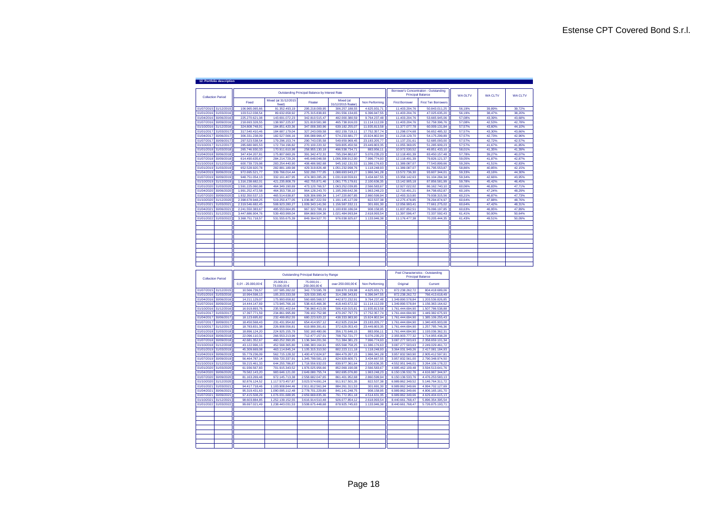|                                                                                                                                                                                                                        | 12. Portfolio description               |                                    |                                                       |                                      |                                |                                      |                                        |                  |                  |                  |
|------------------------------------------------------------------------------------------------------------------------------------------------------------------------------------------------------------------------|-----------------------------------------|------------------------------------|-------------------------------------------------------|--------------------------------------|--------------------------------|--------------------------------------|----------------------------------------|------------------|------------------|------------------|
| <b>Collection Period</b>                                                                                                                                                                                               |                                         |                                    | Outstanding Principal Balance by Interest Rate        |                                      |                                | <b>Principal Balance</b>             | Borrower's Concentration - Outstanding | <b>WA OLTV</b>   | <b>WA CLTV</b>   | <b>WA CLTV</b>   |
|                                                                                                                                                                                                                        | Fixed                                   | Mixed (at 31/12/2015<br>fixed)     | Floater                                               | Mixed (at<br>31/12/2015 floater)     | Non Performing                 | <b>First Borrower</b>                | <b>First Ten Borrowers</b>             |                  |                  |                  |
| 01/07/2015 31/12/2015                                                                                                                                                                                                  | 106.965.065,66                          | 91.352.493,19                      | 295.218.009,95                                        | 306.257.188,55                       | 4.625.931.71                   | 11.403.204,76                        | 50.843.011.25                          | 56.19%           | 39.89%           | 39,72%           |
| 01/01/2016 31/03/2016                                                                                                                                                                                                  | 103 512 038 54                          | 89 632 658 92                      | 275 315 838 83<br>342.810.515.47                      | 291 556 134 65<br>482.000.380.59     | 6.396.947.55                   | 11 403 204 76                        | 47 025 635 20<br>53.665.945.06         | 56 19%<br>57.08% | 38 47%<br>43.39% | 38.20%<br>43.68% |
| 01/04/2016<br>30/06/2016<br>01/07/2016<br>30/09/2016                                                                                                                                                                   | 225.270.621,08<br>218.693.328,55        | 143.691.072,23<br>138.997.225,97   | 321.819.581,98                                        | 465.738.916,03                       | 9.764.237,48<br>11.114.112,09  | 11.403.204,76<br>11.403.204,76       | 52.758.396,76                          | 57,08%           | 42,53%           | 42,78%           |
| 01/10/2016 31/12/2016                                                                                                                                                                                                  | 324.808.748.91                          | 184 851 420 36                     | 347 008 300 96                                        | 639 182 255 07                       | 11.935.813.58                  | 11 377 077 78                        | 60.009.131.84                          | 57 57%           | 43,60%           | 44 10%           |
| 01/01/2017<br>31/03/2017                                                                                                                                                                                               | 317.540.410.46                          | 184.687.179.04                     | 327.243.009.58                                        | 602.159.719.11                       | 17.752.357,74                  | 11.298.074.68                        | 56.652.485.32                          | 57.57%           | 43,30%           | 43.66%           |
| 01/04/2017<br>30/06/2017                                                                                                                                                                                               | 306.331.238,09                          | 182.527.566,16                     | 306.088.966,47                                        | 574.233.681,77                       | 15.924.802,94                  | 11.218.129,70                        | 54.175.299,89                          | 57,57%           | 42,73%           | 42.96%           |
| 01/07/2017<br>30/09/2017<br>01/10/2017<br>31/12/2017                                                                                                                                                                   | 297 523 538 54<br>285.680.965,53        | 179 296 153 74<br>172.734.196.82   | 290 743 035 58<br>270.100.220.32                      | 549 659 969 45<br>509.805.450,56     | 23 183 205 77<br>23.449.803.35 | 11 137 231 61<br>11.055.369.05       | 52 685 093 00<br>51.285.909.23         | 57 57%<br>57.57% | 4272%<br>41.67%  | 42.57%<br>41.85% |
| 01/01/2018<br>31/03/2018                                                                                                                                                                                               | 265.746.930.33                          | 170.911.610.98                     | 258.955.130,18                                        | 496.538.734.71                       | 883.956.11                     | 10.972.530.52                        | 49.851.433.10                          | 58.01%           | 41.35%           | 41.39%           |
| 01/04/2018<br>30/06/2018                                                                                                                                                                                               | 347.434.207.81                          | 175 807 660 26                     | 391.342.472.31                                        | 795.294.862,67                       | 5 076 235 23                   | 12.118.491.39                        | 83.450.157.48                          | 57,78%           | 39.27%           | 40.07%           |
| 01/07/2018<br>30/09/2018                                                                                                                                                                                               | 614.490.635,67                          | 284.214.729,26                     | 445.648.048,58                                        | 1.006.308.912,90                     | 7.996.774,93                   | 12.118.491,39                        | 79.826.121,37                          | 59,05%           | 41,87%           | 42,87%           |
| 01/10/2018<br>31/12/2018                                                                                                                                                                                               | 600.739.729,98                          | 283.254.440.90                     | 408.486.982,68                                        | 945.162.131.53                       | 11.386.176,63                  | 11.389.087.07                        | 77.543.899,66                          | 59.26%           | 41,51%           | 42,83%           |
| 01/01/2019<br>31/03/2019<br>01/04/2019<br>30/06/2019                                                                                                                                                                   | 652.528.920,78<br>972.695.521,77        | 282.881.189,98<br>339.766.014,44   | 429.319.826,48<br>502.290.777,05                      | 1.051.232.998,76<br>1.088.693.943,27 | 1.118.248,93<br>1.966.341,28   | 11.389.087,07<br>13.572.736,30       | 81.795.553.87<br>93.607.344,01         | 58,86%<br>59,33% | 40.85%<br>43,16% | 42.15%<br>44,30% |
| 01/07/2019<br>30/09/2019                                                                                                                                                                                               | 948.751.054,13                          | 332.161.407,95                     | 474.383.285,26                                        | 1.031.618.559,61                     | 3.434.667,55                   | 13.358.142.63                        | 91.104.284,34                          | 59,34%           | 42.66%           | 43,95%           |
| 01/10/2019<br>31/12/2019                                                                                                                                                                                               | 1.316.238.682.01                        | 421.235.808,79                     | 462.755.871,46                                        | 1.061.775.179.61                     | 2.100.636.35                   | 13.142.905,18                        | 87.856.581,99                          | 59.78%           | 45,42%           | 46.45%           |
| 01/01/2020<br>31/03/2020                                                                                                                                                                                               | 1.591.225.060,98                        | 464.349.190,69                     | 473.120.766,57                                        | 1.063.252.039,85                     | 2.566.583,67                   | 12.927.022,02                        | 86.162.740,10                          | 60,06%           | 46,83%           | 47,71%           |
| 01/04/2020<br>30/06/2020                                                                                                                                                                                               | 1.991.252.472,58                        | 464.353.738,10                     | 964.128.243,70                                        | 1.195.269.642,36                     | 1.963.248,23                   | 12.710.491,21                        | 84.798.652,87                          | 60,16%           | 47,24%           | 48,29%           |
| 01/07/2020<br>30/09/2020<br>01/10/2020<br>31/12/2020                                                                                                                                                                   | 1.932.350.537,13<br>2.398.678.948,25    | 465.514.638,87<br>519.250.477,05   | 928.306.999,34<br>1.036.867.222,59                    | 1.147.220.807,85<br>1.191.145.127,09 | 2.860.599,94<br>822.537,38     | 12.493.310,80<br>12.275.478.85       | 79.938.315,56<br>78.294.874,97         | 60,21%<br>60,64% | 46,87%<br>47.88% | 47,73%<br>48,76% |
| 01/01/2021<br>31/03/2021                                                                                                                                                                                               | 2.319.546.682,45                        | 508.923.280,27                     | 1 009 343 141 56                                      | 1.156.587.332,11                     | 301 691 30                     | 12.056.993,41                        | 77.661.275,02                          | 60.64%           | 47,42%           | 48.31%           |
| 01/04/2021<br>30/06/2021                                                                                                                                                                                               | 2.241.550.383,67                        | 495.553.664,85                     | 967.322.788,19                                        | 1.100.830.186,04                     | 908.158,95                     | 11.837.852,51                        | 76.096.197,85                          | 60.63%           | 46,95%           | 47,89%           |
| 01/10/2021<br>31/12/2021                                                                                                                                                                                               | 3.447.886.904.76                        | 539 493 999 04                     | 884.869.504.36                                        | 1 021 484 993 84                     | 2 618 993 54                   | 11.397.596.47                        | 72 337 592 43                          | 61.41%           | 50.00%           | 50.64%           |
| 01/01/2022<br>31/03/2022                                                                                                                                                                                               | 3.368.751.718,57                        | 531.555.675.39                     | 849.394.927,70                                        | 976.038.925.67                       | 1.133.946.38                   | 11.176.477,38                        | 70.205.444,35                          | 61,43%           | 49.51%           | 50.09%           |
|                                                                                                                                                                                                                        |                                         |                                    |                                                       |                                      |                                |                                      |                                        |                  |                  |                  |
|                                                                                                                                                                                                                        |                                         |                                    |                                                       |                                      |                                |                                      |                                        |                  |                  |                  |
|                                                                                                                                                                                                                        |                                         |                                    |                                                       |                                      |                                |                                      |                                        |                  |                  |                  |
|                                                                                                                                                                                                                        |                                         |                                    |                                                       |                                      |                                |                                      |                                        |                  |                  |                  |
|                                                                                                                                                                                                                        |                                         |                                    |                                                       |                                      |                                |                                      |                                        |                  |                  |                  |
|                                                                                                                                                                                                                        |                                         |                                    |                                                       |                                      |                                |                                      |                                        |                  |                  |                  |
|                                                                                                                                                                                                                        |                                         |                                    |                                                       |                                      |                                |                                      |                                        |                  |                  |                  |
| <b>Collection Period</b>                                                                                                                                                                                               |                                         | $25.000.01 -$                      | Outstanding Principal Balance by Range<br>75,000.01 - |                                      |                                |                                      | <b>Principal Balance</b>               |                  |                  |                  |
| 01/07/2015<br>31/12/2015                                                                                                                                                                                               | $0,01 - 25.000,00 \in$<br>10.566.739.57 | 75,000,00 €<br>107.585.282.02      | 250,000,00 $\in$<br>342.770.595,78                    | over 250.000,00 €<br>338,870,139.98  | Non Performing<br>4.625.931.71 | Original<br>872.238.262.72           | Current<br>804.418.689.06              |                  |                  |                  |
| 01/01/2016<br>31/03/2016                                                                                                                                                                                               | 10.994.598,13                           | 105.203.333,58                     | 329.530.395,42                                        | 314.288.343,81                       | 6.396.947,55                   |                                      |                                        |                  |                  |                  |
| 01/04/2016<br>30/06/2016                                                                                                                                                                                               | 14 211 129 07                           | 175 993 658 82                     | 560 695 568 57                                        | 442 872 232 91                       |                                |                                      |                                        |                  |                  |                  |
| 01/07/2016<br>30/09/2016                                                                                                                                                                                               | 14.444.147.69                           | 173.945.766.16                     |                                                       |                                      | 9 764 237 48                   | 872.238.262,72<br>1 349 890 578 84   | 766.413.618,49<br>1 203 536 826 85     |                  |                  |                  |
| 01/10/2016<br>31/12/2016                                                                                                                                                                                               | 16.919.893.76                           |                                    | 538.415.466.36                                        | 418.443.672.32                       | 11.114.112.09                  | 1.349.890.578.84                     | 1.156.363.164.62                       |                  |                  |                  |
| 01/01/2017<br>31/03/2017<br>01/04/2017<br>30/06/2017                                                                                                                                                                   |                                         | 235.551.402.64                     | 736.960.413.09                                        | 506.419.015.81                       | 11.935.813.58                  | 1.761.444.694.90                     | 1.507.786.538.88                       |                  |                  |                  |
|                                                                                                                                                                                                                        | 17 397 771 59                           | 234 861 995 89                     | 709 102 752 98                                        | 470.267.797,73                       | 17 752 357 74                  | 1761 444 694 90                      | 144938267593                           |                  |                  |                  |
|                                                                                                                                                                                                                        | 18.123.695,82                           | 232.499.852,55                     | 680.223.920,22                                        | 438.333.983,90                       | 15.924.802,94                  | 1.761.444.694,90                     | 1.385.106.255,43                       |                  |                  |                  |
| 01/07/2017<br>30/09/2017                                                                                                                                                                                               | 18.450.568.43                           | 231.431.954.82<br>226.908.556.81   | 654.414.957.12                                        | 412.925.216.94<br>372.629.053.43     | 23.183.205,77<br>23.449.803.35 | 1.761.444.694.90<br>1.761.444.694.90 | 1.340.405.903.08                       |                  |                  |                  |
| 01/10/2017<br>31/12/2017<br>01/01/2018<br>31/03/2018                                                                                                                                                                   | 18.783.831,38<br>18.896.124,20          | 224.925.155,79                     | 619.999.391,61<br>592.160.480,06                      | 356,170,646.15                       | 883.956,11                     | 1.761.444.694,90                     | 1.257.785.746,36<br>1.193.036.362.31   |                  |                  |                  |
| 30/06/2018                                                                                                                                                                                                             | 22.096.110.31                           | 266.553.213.96                     | 712.477.157.01                                        | 708.752.721.77                       | 5.076.235,23                   | 2.355.903.777.32                     | 1.714.955.438,28                       |                  |                  |                  |
| 30/09/2018                                                                                                                                                                                                             | 42.681.352.67                           | 460 252 390 95                     | 1.136.344.201.56                                      | 711.384.381.23                       | 7.996.774.93                   | 3.087.277.503.63                     | 2.358.659.101.34                       |                  |                  |                  |
| 31/12/2018<br>31/03/2019                                                                                                                                                                                               | 43.122.996,13                           | 452.568.365,80                     | 1.086.383.164,91<br>1.105.315.310.50                  | 655.568.758,25                       | 11.386.176,63                  | 3.087.277.503,63<br>3.364.031.949.26 | 2.249.029.461,72<br>2.417.081.184.93   |                  |                  |                  |
| 30/06/2019                                                                                                                                                                                                             | 45.309.669,08<br>55.779.236,09          | 463.114.845,24<br>562.715.128,32   | 1.400.472.624,97                                      | 802.223.111,18<br>884.479.267,15     | 1.118.248,93<br>1.966.341,28   | 3.957.832.560,90                     | 2.905.412.597,81                       |                  |                  |                  |
| 30/09/2019                                                                                                                                                                                                             | 56.464.787,14                           | 559.720.337,91                     | 1.345.799.581,19                                      | 824.929.600,71                       | 3.434.667,55                   | 3.957.832.561,00                     | 2.790.348.974,50                       |                  |                  |                  |
| 31/12/2019                                                                                                                                                                                                             | 59.215.461,33                           | 644.255.786,87                     | 1.718.556.932,03                                      | 839.977.361,64                       | 2.100.636,35                   | 4.552.951.946,01                     | 3.264.106.178.22                       |                  |                  |                  |
| 31/03/2020                                                                                                                                                                                                             | 61.936.567,83                           | 701.915.343,52                     | 1.976.025.956,66                                      | 852.069.190,08                       | 2.566.583.67                   | 4.995.462.109,48                     | 3.594.513.641,76                       |                  |                  |                  |
| 30/06/2020                                                                                                                                                                                                             | 79.582.143.20                           | 983.646.121.00                     | 2.649.080.755.74                                      | 902.695.076.80                       | 1.963.248.23                   | 6.150.136.532.76                     | 4.616.967.344.97                       |                  |                  |                  |
| 01/10/2018<br>01/07/2020<br>30/09/2020<br>31/12/2020                                                                                                                                                                   | 81.163.269,48<br>92.876.124,52          | 972.145.713,38<br>1.117.573.457,87 | 2.558.682.047,65<br>3.023.574.691,24                  | 861.401.952,68<br>911.917.501,35     | 2.860.599,94<br>822.537,38     | 6.150.136.533,76<br>6.989.862.349,52 | 4.476.253.583,13<br>5.146.764.311,72   |                  |                  |                  |
|                                                                                                                                                                                                                        | 94.417.718.46                           | 1.103.908.844,46                   | 2.911.812.561.94                                      | 884.261.311,53                       | 301.691.30                     | 6.989.862.349,66                     | 4.994.702.127.69                       |                  |                  |                  |
| 30/06/2021                                                                                                                                                                                                             | 95.319.431,63                           | 1.090.095.112,48                   | 2.778.701.229,89                                      | 841.141.248,75                       | 908.158,95                     | 6.989.862.349,66                     | 4.806.165.181,70                       |                  |                  |                  |
| 30/09/2021                                                                                                                                                                                                             | 97.415.508,29                           | 1.076.031.688,95                   | 2.659.669.835,36                                      | 791.772.951,18                       | 4.514.631,35                   | 6.989.862.349,66                     | 4.629.404.615,13                       |                  |                  |                  |
|                                                                                                                                                                                                                        | 98 603 884 85                           | 1.252.139.152.55                   | 3.616.914.510.48                                      | 926.077.854.12                       | 2.618.993,54                   | 8.440.661.768.47<br>8.440.661.768.47 | 5.896.354.395.54                       |                  |                  |                  |
| 31/03/2022                                                                                                                                                                                                             | 99.697.021,49                           | 1.238.443.031,53                   | 3.508.675.448,68                                      | 878.925.745,63                       | 1.133.946,38                   |                                      | 5.726.875.193,71                       |                  |                  |                  |
|                                                                                                                                                                                                                        |                                         |                                    |                                                       |                                      |                                |                                      |                                        |                  |                  |                  |
|                                                                                                                                                                                                                        |                                         |                                    |                                                       |                                      |                                |                                      |                                        |                  |                  |                  |
|                                                                                                                                                                                                                        |                                         |                                    |                                                       |                                      |                                |                                      |                                        |                  |                  |                  |
| 01/04/2018<br>01/07/2018<br>01/01/2019<br>01/04/2019<br>01/07/2019<br>01/10/2019<br>01/01/2020<br>01/04/2020<br>01/10/2020<br>01/01/2021 31/03/2021<br>01/04/2021<br>01/07/2021<br>01/10/2021 31/12/2021<br>01/01/2022 |                                         |                                    |                                                       |                                      |                                |                                      |                                        |                  |                  |                  |
|                                                                                                                                                                                                                        |                                         |                                    |                                                       |                                      |                                |                                      |                                        |                  |                  |                  |
|                                                                                                                                                                                                                        |                                         |                                    |                                                       |                                      |                                |                                      |                                        |                  |                  |                  |